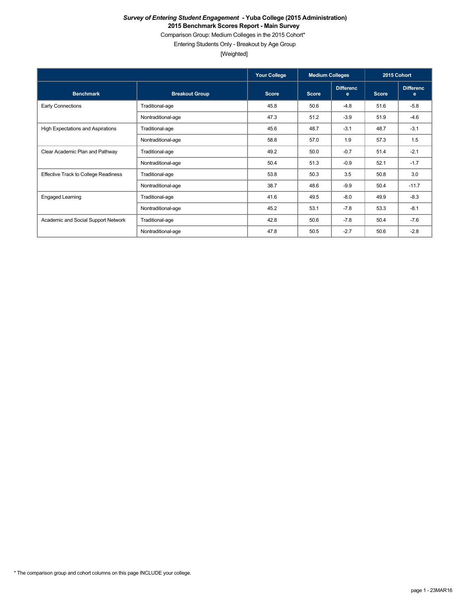Comparison Group: Medium Colleges in the 2015 Cohort\*

Entering Students Only - Breakout by Age Group

[Weighted]

|                                             |                       | <b>Your College</b> | <b>Medium Colleges</b> |                       | 2015 Cohort  |                       |
|---------------------------------------------|-----------------------|---------------------|------------------------|-----------------------|--------------|-----------------------|
| <b>Benchmark</b>                            | <b>Breakout Group</b> | <b>Score</b>        | <b>Score</b>           | <b>Differenc</b><br>e | <b>Score</b> | <b>Differenc</b><br>е |
| <b>Early Connections</b>                    | Traditional-age       | 45.8                | 50.6                   | $-4.8$                | 51.6         | $-5.8$                |
|                                             | Nontraditional-age    | 47.3                | 51.2                   | $-3.9$                | 51.9         | $-4.6$                |
| High Expectations and Aspirations           | Traditional-age       | 45.6                | 48.7                   | $-3.1$                | 48.7         | $-3.1$                |
|                                             | Nontraditional-age    | 58.8                | 57.0                   | 1.9                   | 57.3         | 1.5                   |
| Clear Academic Plan and Pathway             | Traditional-age       | 49.2                | 50.0                   | $-0.7$                | 51.4         | $-2.1$                |
|                                             | Nontraditional-age    | 50.4                | 51.3                   | $-0.9$                | 52.1         | $-1.7$                |
| <b>Effective Track to College Readiness</b> | Traditional-age       | 53.8                | 50.3                   | 3.5                   | 50.8         | 3.0                   |
|                                             | Nontraditional-age    | 38.7                | 48.6                   | $-9.9$                | 50.4         | $-11.7$               |
| <b>Engaged Learning</b>                     | Traditional-age       | 41.6                | 49.5                   | $-8.0$                | 49.9         | $-8.3$                |
|                                             | Nontraditional-age    | 45.2                | 53.1                   | $-7.8$                | 53.3         | $-8.1$                |
| Academic and Social Support Network         | Traditional-age       | 42.8                | 50.6                   | $-7.8$                | 50.4         | $-7.6$                |
|                                             | Nontraditional-age    | 47.8                | 50.5                   | $-2.7$                | 50.6         | $-2.8$                |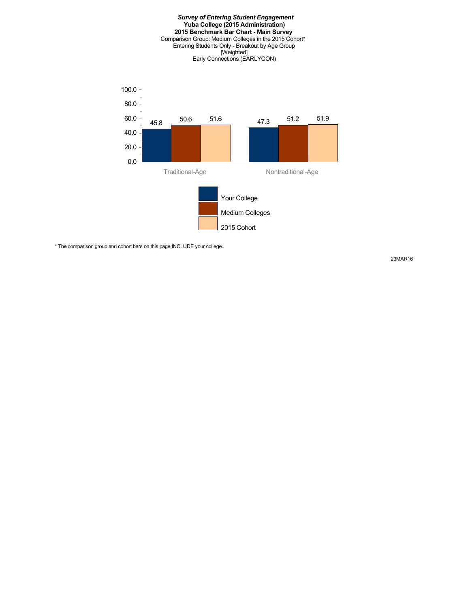

\* The comparison group and cohort bars on this page INCLUDE your college.

23MAR16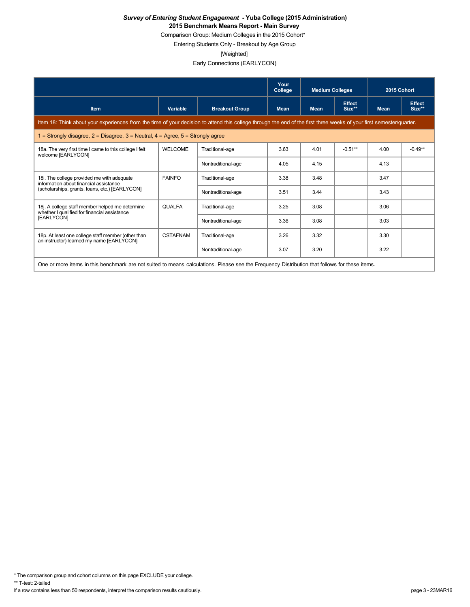Comparison Group: Medium Colleges in the 2015 Cohort\*

Entering Students Only - Breakout by Age Group

[Weighted]

Early Connections (EARLYCON)

|                                                                                                                                                                      |                 |                       | Your<br>College | <b>Medium Colleges</b> |                         | 2015 Cohort |                         |
|----------------------------------------------------------------------------------------------------------------------------------------------------------------------|-----------------|-----------------------|-----------------|------------------------|-------------------------|-------------|-------------------------|
| <b>Item</b>                                                                                                                                                          | Variable        | <b>Breakout Group</b> | <b>Mean</b>     | <b>Mean</b>            | <b>Effect</b><br>Size** | <b>Mean</b> | <b>Effect</b><br>Size** |
| Item 18: Think about your experiences from the time of your decision to attend this college through the end of the first three weeks of your first semester/quarter. |                 |                       |                 |                        |                         |             |                         |
| 1 = Strongly disagree, $2$ = Disagree, $3$ = Neutral, $4$ = Agree, $5$ = Strongly agree                                                                              |                 |                       |                 |                        |                         |             |                         |
| 18a. The very first time I came to this college I felt<br>welcome [EARLYCON]                                                                                         | <b>WELCOME</b>  | Traditional-age       | 3.63            | 4.01                   | $-0.51**$               | 4.00        | $-0.49**$               |
|                                                                                                                                                                      |                 | Nontraditional-age    | 4.05            | 4.15                   |                         | 4.13        |                         |
| 18i. The college provided me with adequate<br>information about financial assistance                                                                                 | <b>FAINFO</b>   | Traditional-age       | 3.38            | 3.48                   |                         | 3.47        |                         |
| (scholarships, grants, loans, etc.) [EARLYCON]                                                                                                                       |                 | Nontraditional-age    | 3.51            | 3.44                   |                         | 3.43        |                         |
| 18j. A college staff member helped me determine<br>whether I qualified for financial assistance                                                                      | <b>QUALFA</b>   | Traditional-age       | 3.25            | 3.08                   |                         | 3.06        |                         |
| [EARLYCON]                                                                                                                                                           |                 | Nontraditional-age    | 3.36            | 3.08                   |                         | 3.03        |                         |
| 18p. At least one college staff member (other than<br>an instructor) learned my name [EARLYCON]                                                                      | <b>CSTAFNAM</b> | Traditional-age       | 3.26            | 3.32                   |                         | 3.30        |                         |
|                                                                                                                                                                      |                 | Nontraditional-age    | 3.07            | 3.20                   |                         | 3.22        |                         |
| One or more items in this benchmark are not suited to means calculations. Please see the Frequency Distribution that follows for these items.                        |                 |                       |                 |                        |                         |             |                         |

\* The comparison group and cohort columns on this page EXCLUDE your college.

\*\* T-test: 2-tailed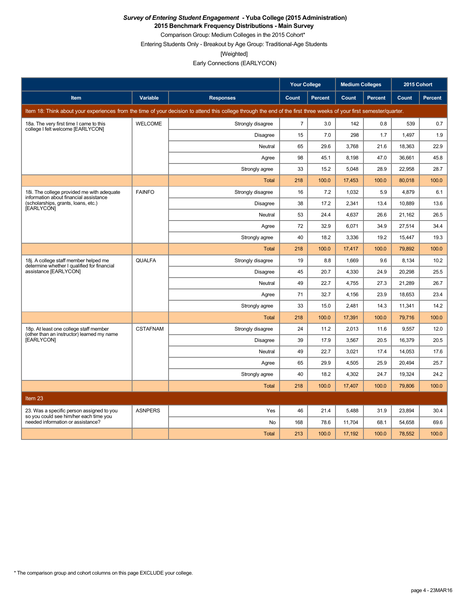**2015 Benchmark Frequency Distributions - Main Survey**

Comparison Group: Medium Colleges in the 2015 Cohort\* Entering Students Only - Breakout by Age Group: Traditional-Age Students

[Weighted]

Early Connections (EARLYCON)

|                                                                                      |                 |                                                                                                                                                                      | <b>Your College</b> |         | <b>Medium Colleges</b> |         | 2015 Cohort |         |
|--------------------------------------------------------------------------------------|-----------------|----------------------------------------------------------------------------------------------------------------------------------------------------------------------|---------------------|---------|------------------------|---------|-------------|---------|
| <b>Item</b>                                                                          | Variable        | <b>Responses</b>                                                                                                                                                     | Count               | Percent | Count                  | Percent | Count       | Percent |
|                                                                                      |                 | Item 18: Think about your experiences from the time of your decision to attend this college through the end of the first three weeks of your first semester/quarter. |                     |         |                        |         |             |         |
| 18a. The very first time I came to this                                              | <b>WELCOME</b>  | Strongly disagree                                                                                                                                                    | $\overline{7}$      | 3.0     | 142                    | 0.8     | 539         | 0.7     |
| college I felt welcome [EARLYCON]                                                    |                 | Disagree                                                                                                                                                             | 15                  | 7.0     | 298                    | 1.7     | 1,497       | 1.9     |
|                                                                                      |                 | Neutral                                                                                                                                                              | 65                  | 29.6    | 3.768                  | 21.6    | 18.363      | 22.9    |
|                                                                                      |                 | Agree                                                                                                                                                                | 98                  | 45.1    | 8,198                  | 47.0    | 36,661      | 45.8    |
|                                                                                      |                 | Strongly agree                                                                                                                                                       | 33                  | 15.2    | 5,048                  | 28.9    | 22,958      | 28.7    |
|                                                                                      |                 | Total                                                                                                                                                                | 218                 | 100.0   | 17,453                 | 100.0   | 80,018      | 100.0   |
| 18i. The college provided me with adequate<br>information about financial assistance | <b>FAINFO</b>   | Strongly disagree                                                                                                                                                    | 16                  | 7.2     | 1.032                  | 5.9     | 4.879       | 6.1     |
| (scholarships, grants, loans, etc.)<br>[EARLYCON]                                    |                 | Disagree                                                                                                                                                             | 38                  | 17.2    | 2.341                  | 13.4    | 10.889      | 13.6    |
|                                                                                      |                 | Neutral                                                                                                                                                              | 53                  | 24.4    | 4,637                  | 26.6    | 21,162      | 26.5    |
|                                                                                      |                 | Agree                                                                                                                                                                | 72                  | 32.9    | 6,071                  | 34.9    | 27,514      | 34.4    |
|                                                                                      |                 | Strongly agree                                                                                                                                                       | 40                  | 18.2    | 3,336                  | 19.2    | 15,447      | 19.3    |
|                                                                                      |                 | <b>Total</b>                                                                                                                                                         | 218                 | 100.0   | 17,417                 | 100.0   | 79,892      | 100.0   |
| 18j. A college staff member helped me<br>determine whether I qualified for financial | <b>QUALFA</b>   | Strongly disagree                                                                                                                                                    | 19                  | 8.8     | 1,669                  | 9.6     | 8,134       | 10.2    |
| assistance [EARLYCON]                                                                |                 | <b>Disagree</b>                                                                                                                                                      | 45                  | 20.7    | 4.330                  | 24.9    | 20,298      | 25.5    |
|                                                                                      |                 | Neutral                                                                                                                                                              | 49                  | 22.7    | 4,755                  | 27.3    | 21,289      | 26.7    |
|                                                                                      |                 | Agree                                                                                                                                                                | 71                  | 32.7    | 4,156                  | 23.9    | 18,653      | 23.4    |
|                                                                                      |                 | Strongly agree                                                                                                                                                       | 33                  | 15.0    | 2.481                  | 14.3    | 11,341      | 14.2    |
|                                                                                      |                 | Total                                                                                                                                                                | 218                 | 100.0   | 17,391                 | 100.0   | 79,716      | 100.0   |
| 18p. At least one college staff member<br>(other than an instructor) learned my name | <b>CSTAFNAM</b> | Strongly disagree                                                                                                                                                    | 24                  | 11.2    | 2,013                  | 11.6    | 9,557       | 12.0    |
| [EARLYCON]                                                                           |                 | <b>Disagree</b>                                                                                                                                                      | 39                  | 17.9    | 3,567                  | 20.5    | 16,379      | 20.5    |
|                                                                                      |                 | Neutral                                                                                                                                                              | 49                  | 22.7    | 3.021                  | 17.4    | 14,053      | 17.6    |
|                                                                                      |                 | Agree                                                                                                                                                                | 65                  | 29.9    | 4,505                  | 25.9    | 20,494      | 25.7    |
|                                                                                      |                 | Strongly agree                                                                                                                                                       | 40                  | 18.2    | 4,302                  | 24.7    | 19,324      | 24.2    |
|                                                                                      |                 | <b>Total</b>                                                                                                                                                         | 218                 | 100.0   | 17,407                 | 100.0   | 79,806      | 100.0   |
| Item <sub>23</sub>                                                                   |                 |                                                                                                                                                                      |                     |         |                        |         |             |         |
| 23. Was a specific person assigned to you                                            | <b>ASNPERS</b>  | Yes                                                                                                                                                                  | 46                  | 21.4    | 5.488                  | 31.9    | 23.894      | 30.4    |
| so you could see him/her each time you<br>needed information or assistance?          |                 | <b>No</b>                                                                                                                                                            | 168                 | 78.6    | 11,704                 | 68.1    | 54,658      | 69.6    |
|                                                                                      |                 | <b>Total</b>                                                                                                                                                         | 213                 | 100.0   | 17,192                 | 100.0   | 78,552      | 100.0   |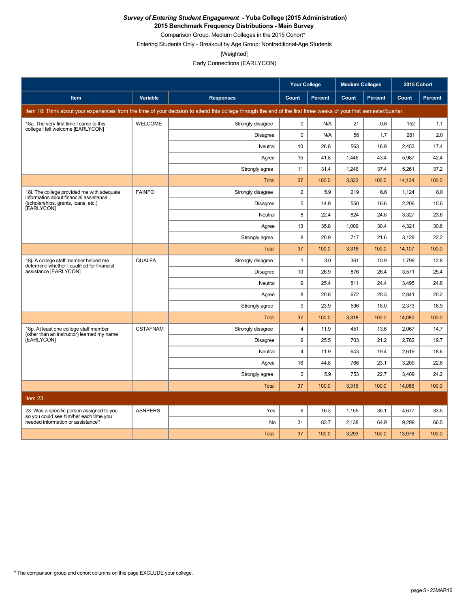**2015 Benchmark Frequency Distributions - Main Survey**

Comparison Group: Medium Colleges in the 2015 Cohort\*

Entering Students Only - Breakout by Age Group: Nontraditional-Age Students

[Weighted]

Early Connections (EARLYCON)

|                                                                                      |                 |                                                                                                                                                                      | <b>Your College</b>     |                | <b>Medium Colleges</b> |                | 2015 Cohort |         |
|--------------------------------------------------------------------------------------|-----------------|----------------------------------------------------------------------------------------------------------------------------------------------------------------------|-------------------------|----------------|------------------------|----------------|-------------|---------|
| <b>Item</b>                                                                          | <b>Variable</b> | <b>Responses</b>                                                                                                                                                     | Count                   | <b>Percent</b> | Count                  | <b>Percent</b> | Count       | Percent |
|                                                                                      |                 | Item 18: Think about your experiences from the time of your decision to attend this college through the end of the first three weeks of your first semester/quarter. |                         |                |                        |                |             |         |
| 18a. The very first time I came to this<br>college I felt welcome [EARLYCON]         | <b>WELCOME</b>  | Strongly disagree                                                                                                                                                    | 0                       | N/A            | 21                     | 0.6            | 152         | 1.1     |
|                                                                                      |                 | <b>Disagree</b>                                                                                                                                                      | $\mathbf 0$             | N/A            | 56                     | 1.7            | 281         | 2.0     |
|                                                                                      |                 | Neutral                                                                                                                                                              | 10                      | 26.8           | 563                    | 16.9           | 2,453       | 17.4    |
|                                                                                      |                 | Agree                                                                                                                                                                | 15                      | 41.8           | 1,446                  | 43.4           | 5,987       | 42.4    |
|                                                                                      |                 | Strongly agree                                                                                                                                                       | 11                      | 31.4           | 1,246                  | 37.4           | 5,261       | 37.2    |
|                                                                                      |                 | <b>Total</b>                                                                                                                                                         | 37                      | 100.0          | 3,333                  | 100.0          | 14,134      | 100.0   |
| 18i. The college provided me with adequate<br>information about financial assistance | <b>FAINFO</b>   | Strongly disagree                                                                                                                                                    | $\overline{2}$          | 5.9            | 219                    | 6.6            | 1,124       | 8.0     |
| (scholarships, grants, loans, etc.)<br>[EARLYCON]                                    |                 | Disagree                                                                                                                                                             | 5                       | 14.9           | 550                    | 16.6           | 2,206       | 15.6    |
|                                                                                      |                 | Neutral                                                                                                                                                              | 8                       | 22.4           | 824                    | 24.8           | 3,327       | 23.6    |
|                                                                                      |                 | Agree                                                                                                                                                                | 13                      | 35.8           | 1,009                  | 30.4           | 4,321       | 30.6    |
|                                                                                      |                 | Strongly agree                                                                                                                                                       | 8                       | 20.9           | 717                    | 21.6           | 3,129       | 22.2    |
|                                                                                      |                 | <b>Total</b>                                                                                                                                                         | 37                      | 100.0          | 3,318                  | 100.0          | 14,107      | 100.0   |
| 18j. A college staff member helped me<br>determine whether I qualified for financial | <b>QUALFA</b>   | Strongly disagree                                                                                                                                                    | $\mathbf{1}$            | 3.0            | 361                    | 10.9           | 1,799       | 12.8    |
| assistance [EARLYCON]                                                                |                 | <b>Disagree</b>                                                                                                                                                      | 10                      | 26.9           | 876                    | 26.4           | 3,571       | 25.4    |
|                                                                                      |                 | Neutral                                                                                                                                                              | 9                       | 25.4           | 811                    | 24.4           | 3,495       | 24.8    |
|                                                                                      |                 | Agree                                                                                                                                                                | 8                       | 20.8           | 672                    | 20.3           | 2,841       | 20.2    |
|                                                                                      |                 | Strongly agree                                                                                                                                                       | 9                       | 23.9           | 596                    | 18.0           | 2,373       | 16.9    |
|                                                                                      |                 | Total                                                                                                                                                                | 37                      | 100.0          | 3,318                  | 100.0          | 14,080      | 100.0   |
| 18p. At least one college staff member<br>(other than an instructor) learned my name | <b>CSTAFNAM</b> | Strongly disagree                                                                                                                                                    | $\overline{4}$          | 11.9           | 451                    | 13.6           | 2,067       | 14.7    |
| [EARLYCON]                                                                           |                 | <b>Disagree</b>                                                                                                                                                      | 9                       | 25.5           | 703                    | 21.2           | 2,782       | 19.7    |
|                                                                                      |                 | Neutral                                                                                                                                                              | $\overline{\mathbf{4}}$ | 11.9           | 643                    | 19.4           | 2,619       | 18.6    |
|                                                                                      |                 | Agree                                                                                                                                                                | 16                      | 44.8           | 766                    | 23.1           | 3,209       | 22.8    |
|                                                                                      |                 | Strongly agree                                                                                                                                                       | $\overline{2}$          | 5.9            | 753                    | 22.7           | 3,409       | 24.2    |
|                                                                                      |                 | <b>Total</b>                                                                                                                                                         | 37                      | 100.0          | 3,316                  | 100.0          | 14,086      | 100.0   |
| Item 23                                                                              |                 |                                                                                                                                                                      |                         |                |                        |                |             |         |
| 23. Was a specific person assigned to you                                            | <b>ASNPERS</b>  | Yes                                                                                                                                                                  | 6                       | 16.3           | 1,155                  | 35.1           | 4,677       | 33.5    |
| so you could see him/her each time you<br>needed information or assistance?          |                 | No                                                                                                                                                                   | 31                      | 83.7           | 2,138                  | 64.9           | 9,299       | 66.5    |
|                                                                                      |                 | <b>Total</b>                                                                                                                                                         | 37                      | 100.0          | 3,293                  | 100.0          | 13,976      | 100.0   |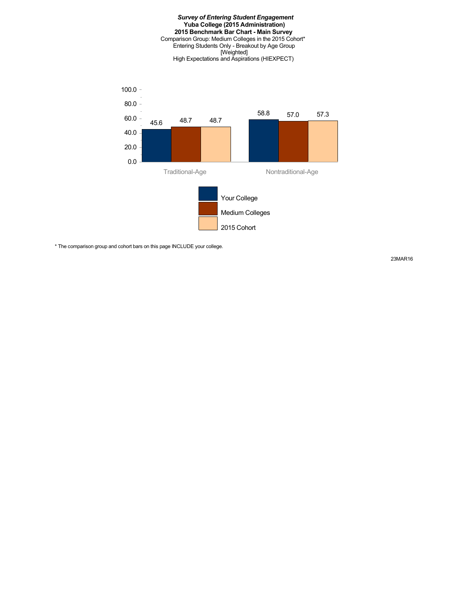#### *Survey of Entering Student Engagement* **Yuba College (2015 Administration) 2015 Benchmark Bar Chart - Main Survey** Comparison Group: Medium Colleges in the 2015 Cohort\* Entering Students Only - Breakout by Age Group [Weighted] High Expectations and Aspirations (HIEXPECT)



\* The comparison group and cohort bars on this page INCLUDE your college.

23MAR16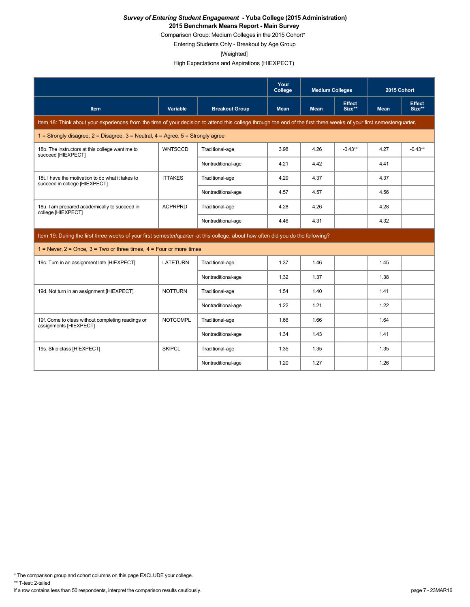Comparison Group: Medium Colleges in the 2015 Cohort\*

Entering Students Only - Breakout by Age Group

[Weighted]

High Expectations and Aspirations (HIEXPECT)

|                                                                                                                                                                      |                 |                       | Your<br>College | <b>Medium Colleges</b> |                         | 2015 Cohort |                         |
|----------------------------------------------------------------------------------------------------------------------------------------------------------------------|-----------------|-----------------------|-----------------|------------------------|-------------------------|-------------|-------------------------|
| <b>Item</b>                                                                                                                                                          | Variable        | <b>Breakout Group</b> | <b>Mean</b>     | <b>Mean</b>            | <b>Effect</b><br>Size** | <b>Mean</b> | <b>Effect</b><br>Size** |
| Item 18: Think about your experiences from the time of your decision to attend this college through the end of the first three weeks of your first semester/quarter. |                 |                       |                 |                        |                         |             |                         |
| 1 = Strongly disagree, $2$ = Disagree, $3$ = Neutral, $4$ = Agree, $5$ = Strongly agree                                                                              |                 |                       |                 |                        |                         |             |                         |
| 18b. The instructors at this college want me to<br>succeed [HIEXPECT]                                                                                                | <b>WNTSCCD</b>  | Traditional-age       | 3.98            | 4.26                   | $-0.43**$               | 4.27        | $-0.43**$               |
|                                                                                                                                                                      |                 | Nontraditional-age    | 4.21            | 4.42                   |                         | 4.41        |                         |
| 18t. I have the motivation to do what it takes to<br>succeed in college [HIEXPECT]                                                                                   | <b>ITTAKES</b>  | Traditional-age       | 4.29            | 4.37                   |                         | 4.37        |                         |
|                                                                                                                                                                      |                 | Nontraditional-age    | 4.57            | 4.57                   |                         | 4.56        |                         |
| 18u. I am prepared academically to succeed in<br>college [HIEXPECT]                                                                                                  | <b>ACPRPRD</b>  | Traditional-age       | 4.28            | 4.26                   |                         | 4.28        |                         |
|                                                                                                                                                                      |                 | Nontraditional-age    | 4.46            | 4.31                   |                         | 4.32        |                         |
| Item 19: During the first three weeks of your first semester/quarter at this college, about how often did you do the following?                                      |                 |                       |                 |                        |                         |             |                         |
| 1 = Never, $2 =$ Once, $3 =$ Two or three times, $4 =$ Four or more times                                                                                            |                 |                       |                 |                        |                         |             |                         |
| 19c. Turn in an assignment late [HIEXPECT]                                                                                                                           | <b>LATETURN</b> | Traditional-age       | 1.37            | 1.46                   |                         | 1.45        |                         |
|                                                                                                                                                                      |                 | Nontraditional-age    | 1.32            | 1.37                   |                         | 1.38        |                         |
| 19d. Not turn in an assignment [HIEXPECT]                                                                                                                            | <b>NOTTURN</b>  | Traditional-age       | 1.54            | 1.40                   |                         | 1.41        |                         |
|                                                                                                                                                                      |                 | Nontraditional-age    | 1.22            | 1.21                   |                         | 1.22        |                         |
| 19f. Come to class without completing readings or<br>assignments [HIEXPECT]                                                                                          | <b>NOTCOMPL</b> | Traditional-age       | 1.66            | 1.66                   |                         | 1.64        |                         |
|                                                                                                                                                                      |                 | Nontraditional-age    | 1.34            | 1.43                   |                         | 1.41        |                         |
| 19s. Skip class [HIEXPECT]                                                                                                                                           | <b>SKIPCL</b>   | Traditional-age       | 1.35            | 1.35                   |                         | 1.35        |                         |
|                                                                                                                                                                      |                 | Nontraditional-age    | 1.20            | 1.27                   |                         | 1.26        |                         |

\* The comparison group and cohort columns on this page EXCLUDE your college.

\*\* T-test: 2-tailed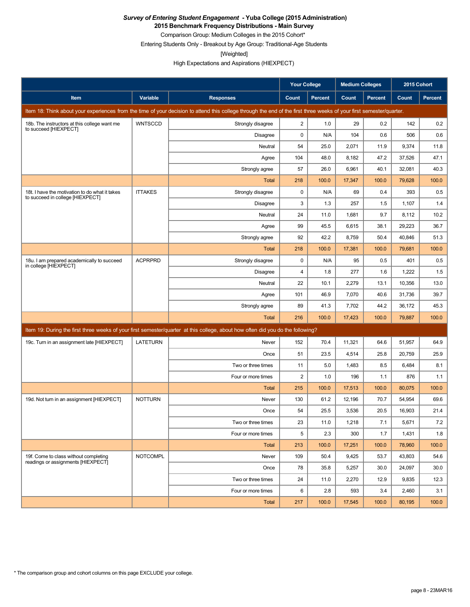**2015 Benchmark Frequency Distributions - Main Survey**

Comparison Group: Medium Colleges in the 2015 Cohort\*

Entering Students Only - Breakout by Age Group: Traditional-Age Students

[Weighted]

High Expectations and Aspirations (HIEXPECT)

|                                                                                    |                 |                                                                                                                                                                      | <b>Your College</b> |                | <b>Medium Colleges</b> |                | 2015 Cohort |                |
|------------------------------------------------------------------------------------|-----------------|----------------------------------------------------------------------------------------------------------------------------------------------------------------------|---------------------|----------------|------------------------|----------------|-------------|----------------|
| Item                                                                               | Variable        | <b>Responses</b>                                                                                                                                                     | Count               | <b>Percent</b> | Count                  | <b>Percent</b> | Count       | <b>Percent</b> |
|                                                                                    |                 | Item 18: Think about your experiences from the time of your decision to attend this college through the end of the first three weeks of your first semester/quarter. |                     |                |                        |                |             |                |
| 18b. The instructors at this college want me<br>to succeed [HIEXPECT]              | <b>WNTSCCD</b>  | Strongly disagree                                                                                                                                                    | $\overline{c}$      | 1.0            | 29                     | 0.2            | 142         | 0.2            |
|                                                                                    |                 | <b>Disagree</b>                                                                                                                                                      | 0                   | N/A            | 104                    | 0.6            | 506         | 0.6            |
|                                                                                    |                 | Neutral                                                                                                                                                              | 54                  | 25.0           | 2,071                  | 11.9           | 9,374       | 11.8           |
|                                                                                    |                 | Agree                                                                                                                                                                | 104                 | 48.0           | 8,182                  | 47.2           | 37,526      | 47.1           |
|                                                                                    |                 | Strongly agree                                                                                                                                                       | 57                  | 26.0           | 6,961                  | 40.1           | 32,081      | 40.3           |
|                                                                                    |                 | <b>Total</b>                                                                                                                                                         | 218                 | 100.0          | 17,347                 | 100.0          | 79,628      | 100.0          |
| 18t. I have the motivation to do what it takes<br>to succeed in college [HIEXPECT] | <b>ITTAKES</b>  | Strongly disagree                                                                                                                                                    | 0                   | N/A            | 69                     | 0.4            | 393         | 0.5            |
|                                                                                    |                 | <b>Disagree</b>                                                                                                                                                      | 3                   | 1.3            | 257                    | 1.5            | 1,107       | 1.4            |
|                                                                                    |                 | Neutral                                                                                                                                                              | 24                  | 11.0           | 1,681                  | 9.7            | 8,112       | 10.2           |
|                                                                                    |                 | Agree                                                                                                                                                                | 99                  | 45.5           | 6,615                  | 38.1           | 29,223      | 36.7           |
|                                                                                    |                 | Strongly agree                                                                                                                                                       | 92                  | 42.2           | 8,759                  | 50.4           | 40,846      | 51.3           |
|                                                                                    |                 | Total                                                                                                                                                                | 218                 | 100.0          | 17,381                 | 100.0          | 79,681      | 100.0          |
| 18u. I am prepared academically to succeed<br>in college [HIEXPECT]                | <b>ACPRPRD</b>  | Strongly disagree                                                                                                                                                    | 0                   | N/A            | 95                     | 0.5            | 401         | 0.5            |
|                                                                                    |                 | <b>Disagree</b>                                                                                                                                                      | 4                   | 1.8            | 277                    | 1.6            | 1,222       | 1.5            |
|                                                                                    |                 | Neutral                                                                                                                                                              | 22                  | 10.1           | 2,279                  | 13.1           | 10,356      | 13.0           |
|                                                                                    |                 | Agree                                                                                                                                                                | 101                 | 46.9           | 7,070                  | 40.6           | 31,736      | 39.7           |
|                                                                                    |                 | Strongly agree                                                                                                                                                       | 89                  | 41.3           | 7,702                  | 44.2           | 36,172      | 45.3           |
|                                                                                    |                 | Total                                                                                                                                                                | 216                 | 100.0          | 17,423                 | 100.0          | 79,887      | 100.0          |
|                                                                                    |                 | Item 19: During the first three weeks of your first semester/quarter at this college, about how often did you do the following?                                      |                     |                |                        |                |             |                |
| 19c. Turn in an assignment late [HIEXPECT]                                         | <b>LATETURN</b> | Never                                                                                                                                                                | 152                 | 70.4           | 11,321                 | 64.6           | 51,957      | 64.9           |
|                                                                                    |                 | Once                                                                                                                                                                 | 51                  | 23.5           | 4,514                  | 25.8           | 20,759      | 25.9           |
|                                                                                    |                 | Two or three times                                                                                                                                                   | 11                  | 5.0            | 1,483                  | 8.5            | 6,484       | 8.1            |
|                                                                                    |                 | Four or more times                                                                                                                                                   | 2                   | 1.0            | 196                    | 1.1            | 876         | 1.1            |
|                                                                                    |                 | Total                                                                                                                                                                | 215                 | 100.0          | 17,513                 | 100.0          | 80,075      | 100.0          |
| 19d. Not turn in an assignment [HIEXPECT]                                          | <b>NOTTURN</b>  | Never                                                                                                                                                                | 130                 | 61.2           | 12,196                 | 70.7           | 54,954      | 69.6           |
|                                                                                    |                 | Once                                                                                                                                                                 | 54                  | 25.5           | 3,536                  | 20.5           | 16,903      | 21.4           |
|                                                                                    |                 | Two or three times                                                                                                                                                   | 23                  | 11.0           | 1,218                  | 7.1            | 5,671       | $7.2\,$        |
|                                                                                    |                 | Four or more times                                                                                                                                                   | 5                   | 2.3            | 300                    | 1.7            | 1,431       | 1.8            |
|                                                                                    |                 | <b>Total</b>                                                                                                                                                         | 213                 | 100.0          | 17,251                 | 100.0          | 78,960      | 100.0          |
| 19f. Come to class without completing<br>readings or assignments [HIEXPECT]        | <b>NOTCOMPL</b> | Never                                                                                                                                                                | 109                 | 50.4           | 9,425                  | 53.7           | 43,803      | 54.6           |
|                                                                                    |                 | Once                                                                                                                                                                 | 78                  | 35.8           | 5,257                  | 30.0           | 24,097      | 30.0           |
|                                                                                    |                 | Two or three times                                                                                                                                                   | 24                  | 11.0           | 2,270                  | 12.9           | 9,835       | 12.3           |
|                                                                                    |                 | Four or more times                                                                                                                                                   | 6                   | 2.8            | 593                    | 3.4            | 2,460       | 3.1            |
|                                                                                    |                 | Total                                                                                                                                                                | 217                 | 100.0          | 17,545                 | 100.0          | 80,195      | 100.0          |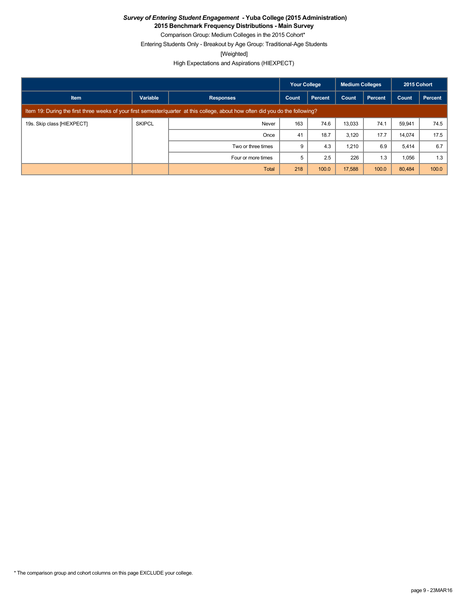**2015 Benchmark Frequency Distributions - Main Survey**

Comparison Group: Medium Colleges in the 2015 Cohort\* Entering Students Only - Breakout by Age Group: Traditional-Age Students

[Weighted]

High Expectations and Aspirations (HIEXPECT)

|                            |               |                                                                                                                                 | <b>Your College</b> |         | Medium Colleges |         | 2015 Cohort |         |
|----------------------------|---------------|---------------------------------------------------------------------------------------------------------------------------------|---------------------|---------|-----------------|---------|-------------|---------|
| <b>Item</b>                | Variable      | <b>Responses</b>                                                                                                                | Count               | Percent | Count           | Percent | Count       | Percent |
|                            |               | Item 19: During the first three weeks of your first semester/quarter at this college, about how often did you do the following? |                     |         |                 |         |             |         |
| 19s. Skip class [HIEXPECT] | <b>SKIPCL</b> | Never                                                                                                                           | 163                 | 74.6    | 13,033          | 74.1    | 59.941      | 74.5    |
|                            |               | Once                                                                                                                            | 41                  | 18.7    | 3,120           | 17.7    | 14,074      | 17.5    |
|                            |               | Two or three times                                                                                                              | 9                   | 4.3     | 1,210           | 6.9     | 5,414       | 6.7     |
|                            |               | Four or more times                                                                                                              | 5                   | 2.5     | 226             | 1.3     | 1,056       | 1.3     |
|                            |               | Total                                                                                                                           | 218                 | 100.0   | 17,588          | 100.0   | 80,484      | 100.0   |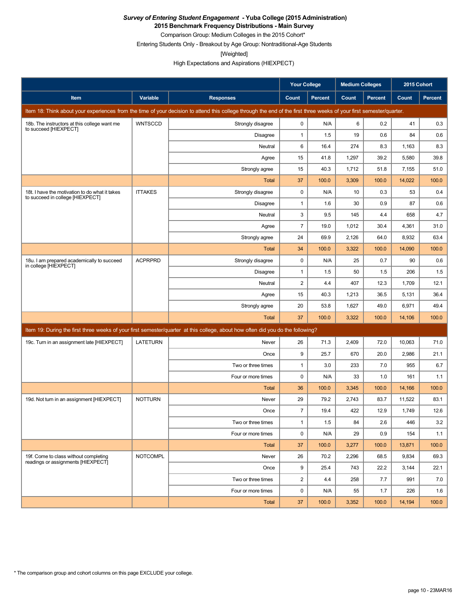**2015 Benchmark Frequency Distributions - Main Survey**

Comparison Group: Medium Colleges in the 2015 Cohort\* Entering Students Only - Breakout by Age Group: Nontraditional-Age Students

[Weighted]

High Expectations and Aspirations (HIEXPECT)

|                                                                                    |                 |                                                                                                                                                                      | Your College   |                | <b>Medium Colleges</b> |                | 2015 Cohort |                |
|------------------------------------------------------------------------------------|-----------------|----------------------------------------------------------------------------------------------------------------------------------------------------------------------|----------------|----------------|------------------------|----------------|-------------|----------------|
| <b>Item</b>                                                                        | Variable        | <b>Responses</b>                                                                                                                                                     | Count          | <b>Percent</b> | Count                  | <b>Percent</b> | Count       | <b>Percent</b> |
|                                                                                    |                 | Item 18: Think about your experiences from the time of your decision to attend this college through the end of the first three weeks of your first semester/quarter. |                |                |                        |                |             |                |
| 18b. The instructors at this college want me<br>to succeed [HIEXPECT]              | <b>WNTSCCD</b>  | Strongly disagree                                                                                                                                                    | 0              | N/A            | 6                      | 0.2            | 41          | 0.3            |
|                                                                                    |                 | Disagree                                                                                                                                                             | $\mathbf{1}$   | 1.5            | 19                     | 0.6            | 84          | 0.6            |
|                                                                                    |                 | Neutral                                                                                                                                                              | 6              | 16.4           | 274                    | 8.3            | 1,163       | 8.3            |
|                                                                                    |                 | Agree                                                                                                                                                                | 15             | 41.8           | 1,297                  | 39.2           | 5,580       | 39.8           |
|                                                                                    |                 | Strongly agree                                                                                                                                                       | 15             | 40.3           | 1,712                  | 51.8           | 7,155       | 51.0           |
|                                                                                    |                 | Total                                                                                                                                                                | 37             | 100.0          | 3,309                  | 100.0          | 14,022      | 100.0          |
| 18t. I have the motivation to do what it takes<br>to succeed in college [HIEXPECT] | <b>ITTAKES</b>  | Strongly disagree                                                                                                                                                    | 0              | N/A            | 10                     | 0.3            | 53          | 0.4            |
|                                                                                    |                 | Disagree                                                                                                                                                             | $\mathbf{1}$   | 1.6            | 30                     | 0.9            | 87          | 0.6            |
|                                                                                    |                 | Neutral                                                                                                                                                              | 3              | 9.5            | 145                    | 4.4            | 658         | 4.7            |
|                                                                                    |                 | Agree                                                                                                                                                                | $\overline{7}$ | 19.0           | 1,012                  | 30.4           | 4,361       | 31.0           |
|                                                                                    |                 | Strongly agree                                                                                                                                                       | 24             | 69.9           | 2,126                  | 64.0           | 8,932       | 63.4           |
|                                                                                    |                 | Total                                                                                                                                                                | 34             | 100.0          | 3,322                  | 100.0          | 14,090      | 100.0          |
| 18u. I am prepared academically to succeed<br>in college [HIEXPECT]                | <b>ACPRPRD</b>  | Strongly disagree                                                                                                                                                    | 0              | N/A            | 25                     | 0.7            | 90          | 0.6            |
|                                                                                    |                 | Disagree                                                                                                                                                             | $\mathbf{1}$   | 1.5            | 50                     | 1.5            | 206         | 1.5            |
|                                                                                    |                 | Neutral                                                                                                                                                              | 2              | 4.4            | 407                    | 12.3           | 1,709       | 12.1           |
|                                                                                    |                 | Agree                                                                                                                                                                | 15             | 40.3           | 1,213                  | 36.5           | 5,131       | 36.4           |
|                                                                                    |                 | Strongly agree                                                                                                                                                       | 20             | 53.8           | 1,627                  | 49.0           | 6,971       | 49.4           |
|                                                                                    |                 | <b>Total</b>                                                                                                                                                         | 37             | 100.0          | 3,322                  | 100.0          | 14,106      | 100.0          |
|                                                                                    |                 | Item 19: During the first three weeks of your first semester/quarter at this college, about how often did you do the following?                                      |                |                |                        |                |             |                |
| 19c. Turn in an assignment late [HIEXPECT]                                         | <b>LATETURN</b> | Never                                                                                                                                                                | 26             | 71.3           | 2,409                  | 72.0           | 10,063      | 71.0           |
|                                                                                    |                 | Once                                                                                                                                                                 | 9              | 25.7           | 670                    | 20.0           | 2,986       | 21.1           |
|                                                                                    |                 | Two or three times                                                                                                                                                   | $\mathbf{1}$   | 3.0            | 233                    | 7.0            | 955         | 6.7            |
|                                                                                    |                 | Four or more times                                                                                                                                                   | $\mathbf 0$    | N/A            | 33                     | 1.0            | 161         | 1.1            |
|                                                                                    |                 | Total                                                                                                                                                                | 36             | 100.0          | 3,345                  | 100.0          | 14,166      | 100.0          |
| 19d. Not turn in an assignment [HIEXPECT]                                          | <b>NOTTURN</b>  | Never                                                                                                                                                                | 29             | 79.2           | 2,743                  | 83.7           | 11,522      | 83.1           |
|                                                                                    |                 | Once                                                                                                                                                                 | $\overline{7}$ | 19.4           | 422                    | 12.9           | 1,749       | 12.6           |
|                                                                                    |                 | Two or three times                                                                                                                                                   | $\mathbf{1}$   | 1.5            | 84                     | $2.6\,$        | 446         | $3.2$          |
|                                                                                    |                 | Four or more times                                                                                                                                                   | 0              | N/A            | 29                     | 0.9            | 154         | 1.1            |
|                                                                                    |                 | Total                                                                                                                                                                | 37             | 100.0          | 3,277                  | 100.0          | 13,871      | 100.0          |
| 19f. Come to class without completing<br>readings or assignments [HIEXPECT]        | <b>NOTCOMPL</b> | Never                                                                                                                                                                | 26             | 70.2           | 2,296                  | 68.5           | 9,834       | 69.3           |
|                                                                                    |                 | Once                                                                                                                                                                 | 9              | 25.4           | 743                    | 22.2           | 3,144       | 22.1           |
|                                                                                    |                 | Two or three times                                                                                                                                                   | $\overline{2}$ | 4.4            | 258                    | 7.7            | 991         | 7.0            |
|                                                                                    |                 | Four or more times                                                                                                                                                   | 0              | N/A            | 55                     | 1.7            | 226         | 1.6            |
|                                                                                    |                 | Total                                                                                                                                                                | 37             | 100.0          | 3,352                  | 100.0          | 14,194      | 100.0          |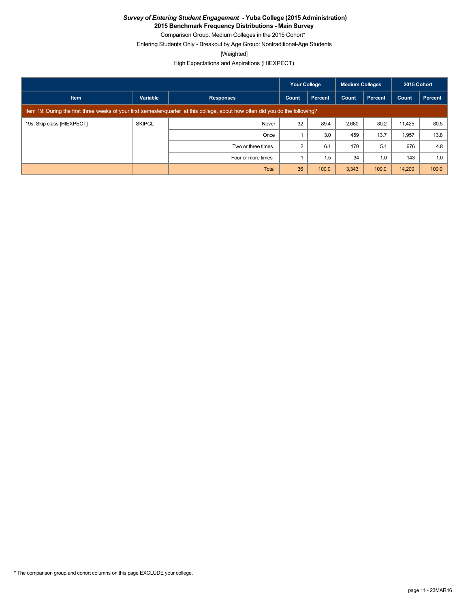**2015 Benchmark Frequency Distributions - Main Survey**

Comparison Group: Medium Colleges in the 2015 Cohort\* Entering Students Only - Breakout by Age Group: Nontraditional-Age Students

[Weighted]

High Expectations and Aspirations (HIEXPECT)

|                            |               |                                                                                                                                 | <b>Your College</b> |         | <b>Medium Colleges</b> |                | 2015 Cohort |         |
|----------------------------|---------------|---------------------------------------------------------------------------------------------------------------------------------|---------------------|---------|------------------------|----------------|-------------|---------|
| <b>Item</b>                | Variable      | <b>Responses</b>                                                                                                                | Count               | Percent | Count                  | <b>Percent</b> | Count       | Percent |
|                            |               | Item 19: During the first three weeks of your first semester/quarter at this college, about how often did you do the following? |                     |         |                        |                |             |         |
| 19s. Skip class [HIEXPECT] | <b>SKIPCL</b> | Never                                                                                                                           | 32                  | 89.4    | 2,680                  | 80.2           | 11,425      | 80.5    |
|                            |               | Once                                                                                                                            |                     | 3.0     | 459                    | 13.7           | 1,957       | 13.8    |
|                            |               | Two or three times                                                                                                              | 2                   | 6.1     | 170                    | 5.1            | 676         | 4.8     |
|                            |               | Four or more times                                                                                                              |                     | 1.5     | 34                     | 1.0            | 143         | 1.0     |
|                            |               | Total                                                                                                                           | 36                  | 100.0   | 3,343                  | 100.0          | 14,200      | 100.0   |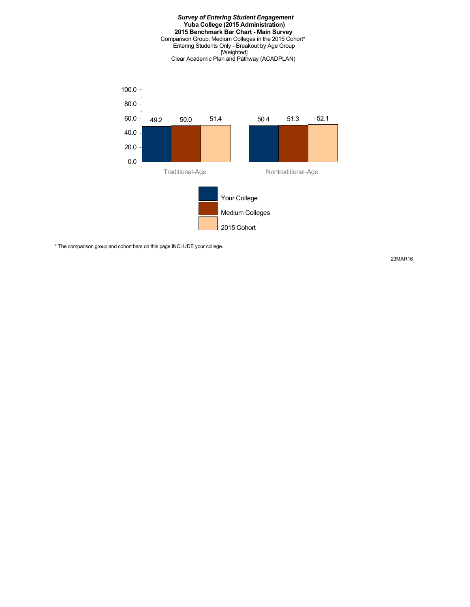#### *Survey of Entering Student Engagement* **Yuba College (2015 Administration) 2015 Benchmark Bar Chart - Main Survey** Comparison Group: Medium Colleges in the 2015 Cohort\* Entering Students Only - Breakout by Age Group [Weighted] Clear Academic Plan and Pathway (ACADPLAN)



\* The comparison group and cohort bars on this page INCLUDE your college.

23MAR16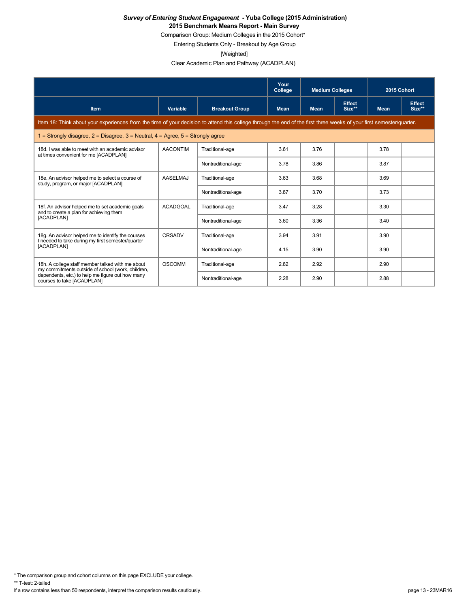Comparison Group: Medium Colleges in the 2015 Cohort\*

Entering Students Only - Breakout by Age Group

[Weighted]

Clear Academic Plan and Pathway (ACADPLAN)

|                                                                                                                                                                      |                 |                       | Your<br>College | <b>Medium Colleges</b> |                         | 2015 Cohort |                         |
|----------------------------------------------------------------------------------------------------------------------------------------------------------------------|-----------------|-----------------------|-----------------|------------------------|-------------------------|-------------|-------------------------|
| <b>Item</b>                                                                                                                                                          | Variable        | <b>Breakout Group</b> | <b>Mean</b>     | <b>Mean</b>            | <b>Effect</b><br>Size** | <b>Mean</b> | <b>Effect</b><br>Size** |
| Item 18: Think about your experiences from the time of your decision to attend this college through the end of the first three weeks of your first semester/quarter. |                 |                       |                 |                        |                         |             |                         |
| 1 = Strongly disagree, $2$ = Disagree, $3$ = Neutral, $4$ = Agree, $5$ = Strongly agree                                                                              |                 |                       |                 |                        |                         |             |                         |
| 18d. I was able to meet with an academic advisor<br>at times convenient for me [ACADPLAN]                                                                            | <b>AACONTIM</b> | Traditional-age       | 3.61            | 3.76                   |                         | 3.78        |                         |
|                                                                                                                                                                      |                 | Nontraditional-age    | 3.78            | 3.86                   |                         | 3.87        |                         |
| 18e. An advisor helped me to select a course of<br>study, program, or major [ACADPLAN]                                                                               | <b>AASELMAJ</b> | Traditional-age       | 3.63            | 3.68                   |                         | 3.69        |                         |
|                                                                                                                                                                      |                 | Nontraditional-age    | 3.87            | 3.70                   |                         | 3.73        |                         |
| 18f. An advisor helped me to set academic goals<br>and to create a plan for achieving them                                                                           | ACADGOAL        | Traditional-age       | 3.47            | 3.28                   |                         | 3.30        |                         |
| [ACADPLAN]                                                                                                                                                           |                 | Nontraditional-age    | 3.60            | 3.36                   |                         | 3.40        |                         |
| 18g. An advisor helped me to identify the courses<br>I needed to take during my first semester/quarter                                                               | CRSADV          | Traditional-age       | 3.94            | 3.91                   |                         | 3.90        |                         |
| <b>IACADPLAN1</b>                                                                                                                                                    |                 | Nontraditional-age    | 4.15            | 3.90                   |                         | 3.90        |                         |
| 18h. A college staff member talked with me about<br>my commitments outside of school (work, children,                                                                | <b>OSCOMM</b>   | Traditional-age       | 2.82            | 2.92                   |                         | 2.90        |                         |
| dependents, etc.) to help me figure out how many<br>courses to take [ACADPLAN]                                                                                       |                 | Nontraditional-age    | 2.28            | 2.90                   |                         | 2.88        |                         |

\* The comparison group and cohort columns on this page EXCLUDE your college.

\*\* T-test: 2-tailed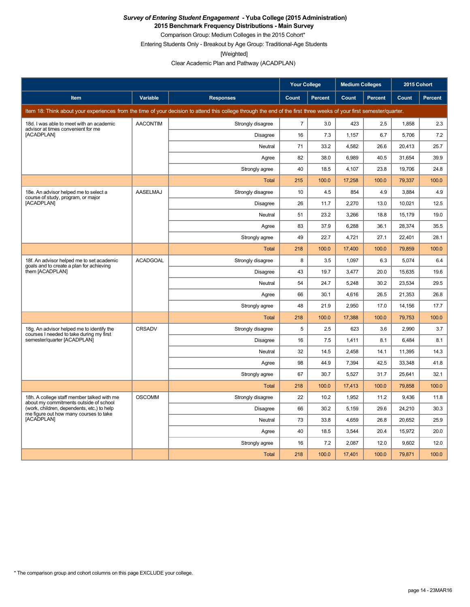**2015 Benchmark Frequency Distributions - Main Survey**

Comparison Group: Medium Colleges in the 2015 Cohort\* Entering Students Only - Breakout by Age Group: Traditional-Age Students

[Weighted]

Clear Academic Plan and Pathway (ACADPLAN)

|                                                                                       |                 |                                                                                                                                                                      | <b>Your College</b> |         | <b>Medium Colleges</b> |         | 2015 Cohort |         |
|---------------------------------------------------------------------------------------|-----------------|----------------------------------------------------------------------------------------------------------------------------------------------------------------------|---------------------|---------|------------------------|---------|-------------|---------|
| Item                                                                                  | Variable        | <b>Responses</b>                                                                                                                                                     | Count               | Percent | Count                  | Percent | Count       | Percent |
|                                                                                       |                 | Item 18: Think about your experiences from the time of your decision to attend this college through the end of the first three weeks of your first semester/quarter. |                     |         |                        |         |             |         |
| 18d. I was able to meet with an academic<br>advisor at times convenient for me        | <b>AACONTIM</b> | Strongly disagree                                                                                                                                                    | $\overline{7}$      | 3.0     | 423                    | 2.5     | 1,858       | 2.3     |
| [ACADPLAN]                                                                            |                 | Disagree                                                                                                                                                             | 16                  | 7.3     | 1,157                  | 6.7     | 5,706       | 7.2     |
|                                                                                       |                 | Neutral                                                                                                                                                              | 71                  | 33.2    | 4,582                  | 26.6    | 20,413      | 25.7    |
|                                                                                       |                 | Agree                                                                                                                                                                | 82                  | 38.0    | 6,989                  | 40.5    | 31,654      | 39.9    |
|                                                                                       |                 | Strongly agree                                                                                                                                                       | 40                  | 18.5    | 4,107                  | 23.8    | 19.706      | 24.8    |
|                                                                                       |                 | <b>Total</b>                                                                                                                                                         | 215                 | 100.0   | 17,258                 | 100.0   | 79,337      | 100.0   |
| 18e. An advisor helped me to select a<br>course of study, program, or major           | <b>AASELMAJ</b> | Strongly disagree                                                                                                                                                    | 10                  | 4.5     | 854                    | 4.9     | 3.884       | 4.9     |
| [ACADPLAN]                                                                            |                 | <b>Disagree</b>                                                                                                                                                      | 26                  | 11.7    | 2,270                  | 13.0    | 10,021      | 12.5    |
|                                                                                       |                 | Neutral                                                                                                                                                              | 51                  | 23.2    | 3,266                  | 18.8    | 15,179      | 19.0    |
|                                                                                       |                 | Agree                                                                                                                                                                | 83                  | 37.9    | 6,288                  | 36.1    | 28,374      | 35.5    |
|                                                                                       |                 | Strongly agree                                                                                                                                                       | 49                  | 22.7    | 4,721                  | 27.1    | 22,401      | 28.1    |
|                                                                                       |                 | Total                                                                                                                                                                | 218                 | 100.0   | 17,400                 | 100.0   | 79,859      | 100.0   |
| 18f. An advisor helped me to set academic<br>goals and to create a plan for achieving | <b>ACADGOAL</b> | Strongly disagree                                                                                                                                                    | 8                   | 3.5     | 1,097                  | 6.3     | 5,074       | 6.4     |
| them [ACADPLAN]                                                                       |                 | Disagree                                                                                                                                                             | 43                  | 19.7    | 3,477                  | 20.0    | 15,635      | 19.6    |
|                                                                                       |                 | Neutral                                                                                                                                                              | 54                  | 24.7    | 5,248                  | 30.2    | 23,534      | 29.5    |
|                                                                                       |                 | Agree                                                                                                                                                                | 66                  | 30.1    | 4,616                  | 26.5    | 21,353      | 26.8    |
|                                                                                       |                 | Strongly agree                                                                                                                                                       | 48                  | 21.9    | 2,950                  | 17.0    | 14,156      | 17.7    |
|                                                                                       |                 | Total                                                                                                                                                                | 218                 | 100.0   | 17,388                 | 100.0   | 79,753      | 100.0   |
| 18g. An advisor helped me to identify the<br>courses I needed to take during my first | CRSADV          | Strongly disagree                                                                                                                                                    | 5                   | 2.5     | 623                    | 3.6     | 2,990       | 3.7     |
| semester/quarter [ACADPLAN]                                                           |                 | <b>Disagree</b>                                                                                                                                                      | 16                  | 7.5     | 1,411                  | 8.1     | 6,484       | 8.1     |
|                                                                                       |                 | Neutral                                                                                                                                                              | 32                  | 14.5    | 2,458                  | 14.1    | 11,395      | 14.3    |
|                                                                                       |                 | Agree                                                                                                                                                                | 98                  | 44.9    | 7,394                  | 42.5    | 33,348      | 41.8    |
|                                                                                       |                 | Strongly agree                                                                                                                                                       | 67                  | 30.7    | 5,527                  | 31.7    | 25,641      | 32.1    |
|                                                                                       |                 | <b>Total</b>                                                                                                                                                         | 218                 | 100.0   | 17,413                 | 100.0   | 79,858      | 100.0   |
| 18h. A college staff member talked with me<br>about my commitments outside of school  | <b>OSCOMM</b>   | Strongly disagree                                                                                                                                                    | 22                  | 10.2    | 1,952                  | 11.2    | 9,436       | 11.8    |
| (work, children, dependents, etc.) to help<br>me figure out how many courses to take  |                 | Disagree                                                                                                                                                             | 66                  | 30.2    | 5.159                  | 29.6    | 24,210      | 30.3    |
| [ACADPLAN]                                                                            |                 | Neutral                                                                                                                                                              | 73                  | 33.8    | 4,659                  | 26.8    | 20,652      | 25.9    |
|                                                                                       |                 | Agree                                                                                                                                                                | 40                  | 18.5    | 3,544                  | 20.4    | 15,972      | 20.0    |
|                                                                                       |                 | Strongly agree                                                                                                                                                       | 16                  | 7.2     | 2,087                  | 12.0    | 9,602       | 12.0    |
|                                                                                       |                 | Total                                                                                                                                                                | 218                 | 100.0   | 17,401                 | 100.0   | 79,871      | 100.0   |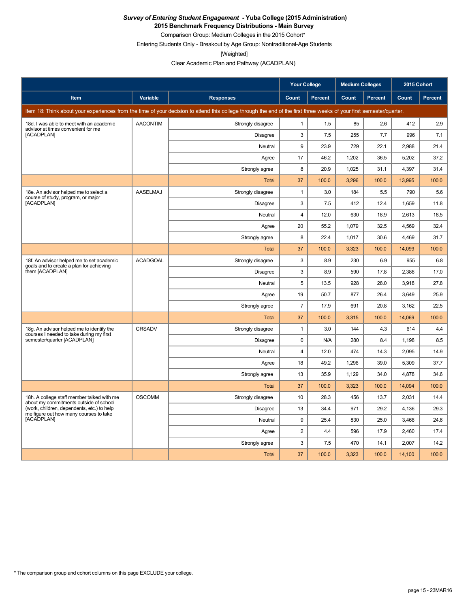**2015 Benchmark Frequency Distributions - Main Survey**

Comparison Group: Medium Colleges in the 2015 Cohort\* Entering Students Only - Breakout by Age Group: Nontraditional-Age Students

[Weighted]

Clear Academic Plan and Pathway (ACADPLAN)

|                                                                                       |                 |                                                                                                                                                                      | <b>Your College</b> |                | <b>Medium Colleges</b> |                | 2015 Cohort  |         |
|---------------------------------------------------------------------------------------|-----------------|----------------------------------------------------------------------------------------------------------------------------------------------------------------------|---------------------|----------------|------------------------|----------------|--------------|---------|
| Item                                                                                  | Variable        | <b>Responses</b>                                                                                                                                                     | Count               | <b>Percent</b> | Count                  | <b>Percent</b> | <b>Count</b> | Percent |
|                                                                                       |                 | Item 18: Think about your experiences from the time of your decision to attend this college through the end of the first three weeks of your first semester/quarter. |                     |                |                        |                |              |         |
| 18d. I was able to meet with an academic<br>advisor at times convenient for me        | <b>AACONTIM</b> | Strongly disagree                                                                                                                                                    | $\mathbf{1}$        | 1.5            | 85                     | 2.6            | 412          | 2.9     |
| [ACADPLAN]                                                                            |                 | Disagree                                                                                                                                                             | 3                   | 7.5            | 255                    | 7.7            | 996          | 7.1     |
|                                                                                       |                 | Neutral                                                                                                                                                              | 9                   | 23.9           | 729                    | 22.1           | 2,988        | 21.4    |
|                                                                                       |                 | Agree                                                                                                                                                                | 17                  | 46.2           | 1,202                  | 36.5           | 5,202        | 37.2    |
|                                                                                       |                 | Strongly agree                                                                                                                                                       | 8                   | 20.9           | 1,025                  | 31.1           | 4,397        | 31.4    |
|                                                                                       |                 | <b>Total</b>                                                                                                                                                         | 37                  | 100.0          | 3,296                  | 100.0          | 13,995       | 100.0   |
| 18e. An advisor helped me to select a<br>course of study, program, or major           | <b>AASELMAJ</b> | Strongly disagree                                                                                                                                                    | $\mathbf{1}$        | 3.0            | 184                    | 5.5            | 790          | 5.6     |
| [ACADPLAN]                                                                            |                 | <b>Disagree</b>                                                                                                                                                      | 3                   | 7.5            | 412                    | 12.4           | 1,659        | 11.8    |
|                                                                                       |                 | Neutral                                                                                                                                                              | 4                   | 12.0           | 630                    | 18.9           | 2,613        | 18.5    |
|                                                                                       |                 | Agree                                                                                                                                                                | 20                  | 55.2           | 1,079                  | 32.5           | 4,569        | 32.4    |
|                                                                                       |                 | Strongly agree                                                                                                                                                       | 8                   | 22.4           | 1,017                  | 30.6           | 4,469        | 31.7    |
|                                                                                       |                 | Total                                                                                                                                                                | 37                  | 100.0          | 3,323                  | 100.0          | 14,099       | 100.0   |
| 18f. An advisor helped me to set academic<br>goals and to create a plan for achieving | <b>ACADGOAL</b> | Strongly disagree                                                                                                                                                    | 3                   | 8.9            | 230                    | 6.9            | 955          | 6.8     |
| them [ACADPLAN]                                                                       |                 | <b>Disagree</b>                                                                                                                                                      | 3                   | 8.9            | 590                    | 17.8           | 2,386        | 17.0    |
|                                                                                       |                 | Neutral                                                                                                                                                              | 5                   | 13.5           | 928                    | 28.0           | 3.918        | 27.8    |
|                                                                                       |                 | Agree                                                                                                                                                                | 19                  | 50.7           | 877                    | 26.4           | 3,649        | 25.9    |
|                                                                                       |                 | Strongly agree                                                                                                                                                       | $\overline{7}$      | 17.9           | 691                    | 20.8           | 3,162        | 22.5    |
|                                                                                       |                 | Total                                                                                                                                                                | 37                  | 100.0          | 3,315                  | 100.0          | 14,069       | 100.0   |
| 18g. An advisor helped me to identify the<br>courses I needed to take during my first | CRSADV          | Strongly disagree                                                                                                                                                    | $\mathbf{1}$        | 3.0            | 144                    | 4.3            | 614          | 4.4     |
| semester/quarter [ACADPLAN]                                                           |                 | Disagree                                                                                                                                                             | 0                   | N/A            | 280                    | 8.4            | 1,198        | 8.5     |
|                                                                                       |                 | Neutral                                                                                                                                                              | 4                   | 12.0           | 474                    | 14.3           | 2,095        | 14.9    |
|                                                                                       |                 | Agree                                                                                                                                                                | 18                  | 49.2           | 1,296                  | 39.0           | 5,309        | 37.7    |
|                                                                                       |                 | Strongly agree                                                                                                                                                       | 13                  | 35.9           | 1,129                  | 34.0           | 4,878        | 34.6    |
|                                                                                       |                 | <b>Total</b>                                                                                                                                                         | 37                  | 100.0          | 3,323                  | 100.0          | 14,094       | 100.0   |
| 18h. A college staff member talked with me<br>about my commitments outside of school  | <b>OSCOMM</b>   | Strongly disagree                                                                                                                                                    | 10                  | 28.3           | 456                    | 13.7           | 2,031        | 14.4    |
| (work, children, dependents, etc.) to help<br>me figure out how many courses to take  |                 | <b>Disagree</b>                                                                                                                                                      | 13                  | 34.4           | 971                    | 29.2           | 4,136        | 29.3    |
| [ACADPLAN]                                                                            |                 | Neutral                                                                                                                                                              | 9                   | 25.4           | 830                    | 25.0           | 3.466        | 24.6    |
|                                                                                       |                 | Agree                                                                                                                                                                | $\overline{c}$      | 4.4            | 596                    | 17.9           | 2,460        | 17.4    |
|                                                                                       |                 | Strongly agree                                                                                                                                                       | 3                   | 7.5            | 470                    | 14.1           | 2,007        | 14.2    |
|                                                                                       |                 | Total                                                                                                                                                                | 37                  | 100.0          | 3,323                  | 100.0          | 14,100       | 100.0   |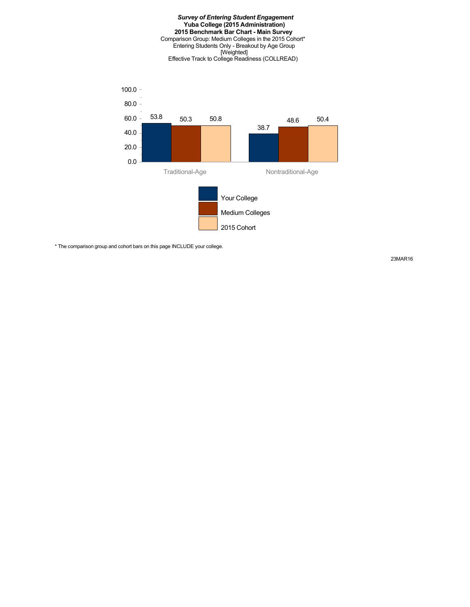#### *Survey of Entering Student Engagement* **Yuba College (2015 Administration) 2015 Benchmark Bar Chart - Main Survey** Comparison Group: Medium Colleges in the 2015 Cohort\* Entering Students Only - Breakout by Age Group [Weighted] Effective Track to College Readiness (COLLREAD)



\* The comparison group and cohort bars on this page INCLUDE your college.

23MAR16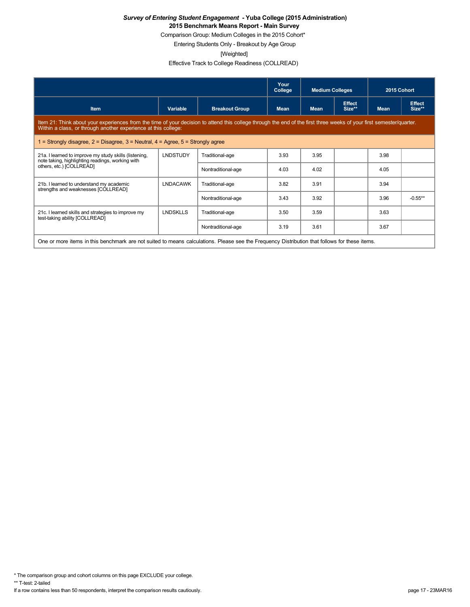Comparison Group: Medium Colleges in the 2015 Cohort\*

Entering Students Only - Breakout by Age Group

[Weighted]

Effective Track to College Readiness (COLLREAD)

|                                                                                                                                                                                                                                        |                 |                       | Your<br>College | <b>Medium Colleges</b> |                         | 2015 Cohort |                         |
|----------------------------------------------------------------------------------------------------------------------------------------------------------------------------------------------------------------------------------------|-----------------|-----------------------|-----------------|------------------------|-------------------------|-------------|-------------------------|
| <b>Item</b>                                                                                                                                                                                                                            | Variable        | <b>Breakout Group</b> | <b>Mean</b>     | <b>Mean</b>            | <b>Effect</b><br>Size** | <b>Mean</b> | <b>Effect</b><br>Size** |
| Item 21: Think about your experiences from the time of your decision to attend this college through the end of the first three weeks of your first semester/quarter.<br>Within a class, or through another experience at this college: |                 |                       |                 |                        |                         |             |                         |
| 1 = Strongly disagree, $2$ = Disagree, $3$ = Neutral, $4$ = Agree, $5$ = Strongly agree                                                                                                                                                |                 |                       |                 |                        |                         |             |                         |
| 21a. I learned to improve my study skills (listening,<br>note taking, highlighting readings, working with                                                                                                                              | <b>LNDSTUDY</b> | Traditional-age       | 3.93            | 3.95                   |                         | 3.98        |                         |
| others, etc.) [COLLREAD]                                                                                                                                                                                                               |                 | Nontraditional-age    | 4.03            | 4.02                   |                         | 4.05        |                         |
| 21b. I learned to understand my academic<br>strengths and weaknesses [COLLREAD]                                                                                                                                                        | <b>LNDACAWK</b> | Traditional-age       | 3.82            | 3.91                   |                         | 3.94        |                         |
|                                                                                                                                                                                                                                        |                 | Nontraditional-age    | 3.43            | 3.92                   |                         | 3.96        | $-0.55***$              |
| 21c. I learned skills and strategies to improve my<br>test-taking ability [COLLREAD]                                                                                                                                                   | <b>LNDSKLLS</b> | Traditional-age       | 3.50            | 3.59                   |                         | 3.63        |                         |
|                                                                                                                                                                                                                                        |                 | Nontraditional-age    | 3.19            | 3.61                   |                         | 3.67        |                         |
| One or more items in this benchmark are not suited to means calculations. Please see the Frequency Distribution that follows for these items.                                                                                          |                 |                       |                 |                        |                         |             |                         |

\* The comparison group and cohort columns on this page EXCLUDE your college.

\*\* T-test: 2-tailed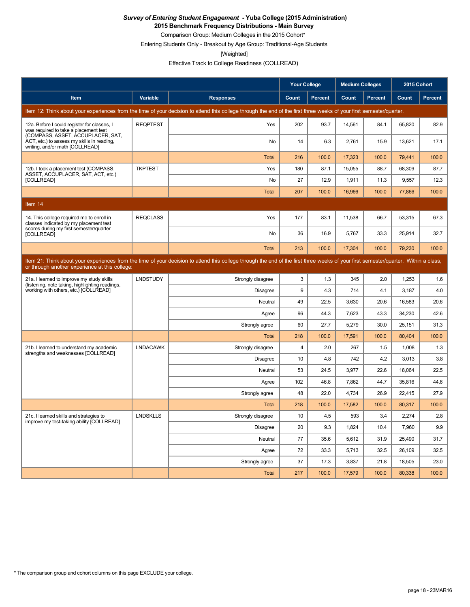**2015 Benchmark Frequency Distributions - Main Survey**

Comparison Group: Medium Colleges in the 2015 Cohort\*

Entering Students Only - Breakout by Age Group: Traditional-Age Students

[Weighted]

Effective Track to College Readiness (COLLREAD)

|                                                                                                                           |                 |                                                                                                                                                                                      | <b>Your College</b> |                | <b>Medium Colleges</b> |                | 2015 Cohort |         |
|---------------------------------------------------------------------------------------------------------------------------|-----------------|--------------------------------------------------------------------------------------------------------------------------------------------------------------------------------------|---------------------|----------------|------------------------|----------------|-------------|---------|
| Item                                                                                                                      | Variable        | <b>Responses</b>                                                                                                                                                                     | Count               | <b>Percent</b> | Count                  | <b>Percent</b> | Count       | Percent |
|                                                                                                                           |                 | Item 12: Think about your experiences from the time of your decision to attend this college through the end of the first three weeks of your first semester/quarter.                 |                     |                |                        |                |             |         |
| 12a. Before I could register for classes, I<br>was required to take a placement test<br>(COMPASS, ASSET, ACCUPLACER, SAT, | <b>REQPTEST</b> | Yes                                                                                                                                                                                  | 202                 | 93.7           | 14,561                 | 84.1           | 65,820      | 82.9    |
| ACT, etc.) to assess my skills in reading,<br>writing, and/or math [COLLREAD]                                             |                 | No                                                                                                                                                                                   | 14                  | 6.3            | 2,761                  | 15.9           | 13,621      | 17.1    |
|                                                                                                                           |                 | <b>Total</b>                                                                                                                                                                         | 216                 | 100.0          | 17,323                 | 100.0          | 79,441      | 100.0   |
| 12b. I took a placement test (COMPASS,<br>ASSET, ACCUPLACER, SAT, ACT, etc.)                                              | <b>TKPTEST</b>  | Yes                                                                                                                                                                                  | 180                 | 87.1           | 15,055                 | 88.7           | 68,309      | 87.7    |
| [COLLREAD]                                                                                                                |                 | No                                                                                                                                                                                   | 27                  | 12.9           | 1,911                  | 11.3           | 9,557       | 12.3    |
|                                                                                                                           |                 | <b>Total</b>                                                                                                                                                                         | 207                 | 100.0          | 16,966                 | 100.0          | 77,866      | 100.0   |
| Item 14                                                                                                                   |                 |                                                                                                                                                                                      |                     |                |                        |                |             |         |
| 14. This college required me to enroll in<br>classes indicated by my placement test                                       | <b>REQCLASS</b> | Yes                                                                                                                                                                                  | 177                 | 83.1           | 11.538                 | 66.7           | 53.315      | 67.3    |
| scores during my first semester/quarter<br>[COLLREAD]                                                                     |                 | No                                                                                                                                                                                   | 36                  | 16.9           | 5,767                  | 33.3           | 25,914      | 32.7    |
|                                                                                                                           |                 | <b>Total</b>                                                                                                                                                                         | 213                 | 100.0          | 17.304                 | 100.0          | 79.230      | 100.0   |
| or through another experience at this college:                                                                            |                 | Item 21: Think about your experiences from the time of your decision to attend this college through the end of the first three weeks of your first semester/quarter. Within a class, |                     |                |                        |                |             |         |
| 21a. I learned to improve my study skills<br>(listening, note taking, highlighting readings,                              | <b>LNDSTUDY</b> | Strongly disagree                                                                                                                                                                    | 3                   | 1.3            | 345                    | 2.0            | 1,253       | 1.6     |
| working with others, etc.) [COLLREAD]                                                                                     |                 | <b>Disagree</b>                                                                                                                                                                      | 9                   | 4.3            | 714                    | 4.1            | 3,187       | 4.0     |
|                                                                                                                           |                 | Neutral                                                                                                                                                                              | 49                  | 22.5           | 3.630                  | 20.6           | 16.583      | 20.6    |
|                                                                                                                           |                 | Agree                                                                                                                                                                                | 96                  | 44.3           | 7,623                  | 43.3           | 34,230      | 42.6    |
|                                                                                                                           |                 | Strongly agree                                                                                                                                                                       | 60                  | 27.7           | 5,279                  | 30.0           | 25,151      | 31.3    |
|                                                                                                                           |                 | <b>Total</b>                                                                                                                                                                         | 218                 | 100.0          | 17,591                 | 100.0          | 80,404      | 100.0   |
| 21b. I learned to understand my academic<br>strengths and weaknesses [COLLREAD]                                           | <b>LNDACAWK</b> | Strongly disagree                                                                                                                                                                    | 4                   | 2.0            | 267                    | 1.5            | 1,008       | 1.3     |
|                                                                                                                           |                 | <b>Disagree</b>                                                                                                                                                                      | 10                  | 4.8            | 742                    | 4.2            | 3.013       | 3.8     |
|                                                                                                                           |                 | Neutral                                                                                                                                                                              | 53                  | 24.5           | 3,977                  | 22.6           | 18,064      | 22.5    |
|                                                                                                                           |                 | Agree                                                                                                                                                                                | 102                 | 46.8           | 7,862                  | 44.7           | 35,816      | 44.6    |
|                                                                                                                           |                 | Strongly agree                                                                                                                                                                       | 48                  | 22.0           | 4,734                  | 26.9           | 22,415      | 27.9    |
|                                                                                                                           |                 | Total                                                                                                                                                                                | 218                 | 100.0          | 17,582                 | 100.0          | 80,317      | 100.0   |
| 21c. I learned skills and strategies to<br>improve my test-taking ability [COLLREAD]                                      | <b>LNDSKLLS</b> | Strongly disagree                                                                                                                                                                    | 10                  | 4.5            | 593                    | 3.4            | 2,274       | 2.8     |
|                                                                                                                           |                 | Disagree                                                                                                                                                                             | 20                  | 9.3            | 1,824                  | 10.4           | 7.960       | 9.9     |
|                                                                                                                           |                 | Neutral                                                                                                                                                                              | 77                  | 35.6           | 5,612                  | 31.9           | 25,490      | 31.7    |
|                                                                                                                           |                 | Agree                                                                                                                                                                                | 72                  | 33.3           | 5,713                  | 32.5           | 26,109      | 32.5    |
|                                                                                                                           |                 | Strongly agree                                                                                                                                                                       | 37                  | 17.3           | 3,837                  | 21.8           | 18,505      | 23.0    |
|                                                                                                                           |                 | <b>Total</b>                                                                                                                                                                         | 217                 | 100.0          | 17.579                 | 100.0          | 80.338      | 100.0   |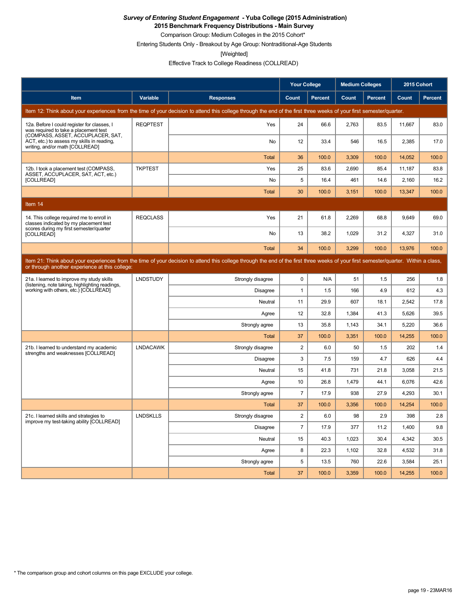**2015 Benchmark Frequency Distributions - Main Survey**

Comparison Group: Medium Colleges in the 2015 Cohort\*

Entering Students Only - Breakout by Age Group: Nontraditional-Age Students

[Weighted]

Effective Track to College Readiness (COLLREAD)

|                                                                                                                           |                 |                                                                                                                                                                                      | <b>Your College</b> |                | <b>Medium Colleges</b> |                | 2015 Cohort |         |
|---------------------------------------------------------------------------------------------------------------------------|-----------------|--------------------------------------------------------------------------------------------------------------------------------------------------------------------------------------|---------------------|----------------|------------------------|----------------|-------------|---------|
| Item                                                                                                                      | Variable        | <b>Responses</b>                                                                                                                                                                     | Count               | <b>Percent</b> | Count                  | <b>Percent</b> | Count       | Percent |
|                                                                                                                           |                 | Item 12: Think about your experiences from the time of your decision to attend this college through the end of the first three weeks of your first semester/quarter.                 |                     |                |                        |                |             |         |
| 12a. Before I could register for classes, I<br>was required to take a placement test<br>(COMPASS, ASSET, ACCUPLACER, SAT, | <b>REQPTEST</b> | Yes                                                                                                                                                                                  | 24                  | 66.6           | 2,763                  | 83.5           | 11,667      | 83.0    |
| ACT, etc.) to assess my skills in reading,<br>writing, and/or math [COLLREAD]                                             |                 | No                                                                                                                                                                                   | 12                  | 33.4           | 546                    | 16.5           | 2,385       | 17.0    |
|                                                                                                                           |                 | <b>Total</b>                                                                                                                                                                         | 36                  | 100.0          | 3,309                  | 100.0          | 14,052      | 100.0   |
| 12b. I took a placement test (COMPASS,<br>ASSET, ACCUPLACER, SAT, ACT, etc.)                                              | <b>TKPTEST</b>  | Yes                                                                                                                                                                                  | 25                  | 83.6           | 2,690                  | 85.4           | 11,187      | 83.8    |
| [COLLREAD]                                                                                                                |                 | No                                                                                                                                                                                   | 5                   | 16.4           | 461                    | 14.6           | 2,160       | 16.2    |
|                                                                                                                           |                 | <b>Total</b>                                                                                                                                                                         | 30                  | 100.0          | 3,151                  | 100.0          | 13,347      | 100.0   |
| Item 14                                                                                                                   |                 |                                                                                                                                                                                      |                     |                |                        |                |             |         |
| 14. This college required me to enroll in<br>classes indicated by my placement test                                       | <b>REQCLASS</b> | Yes                                                                                                                                                                                  | 21                  | 61.8           | 2.269                  | 68.8           | 9.649       | 69.0    |
| scores during my first semester/quarter<br>[COLLREAD]                                                                     |                 | No                                                                                                                                                                                   | 13                  | 38.2           | 1,029                  | 31.2           | 4,327       | 31.0    |
|                                                                                                                           |                 | <b>Total</b>                                                                                                                                                                         | 34                  | 100.0          | 3.299                  | 100.0          | 13,976      | 100.0   |
| or through another experience at this college:                                                                            |                 | Item 21: Think about your experiences from the time of your decision to attend this college through the end of the first three weeks of your first semester/quarter. Within a class, |                     |                |                        |                |             |         |
| 21a. I learned to improve my study skills<br>(listening, note taking, highlighting readings,                              | <b>LNDSTUDY</b> | Strongly disagree                                                                                                                                                                    | 0                   | N/A            | 51                     | 1.5            | 256         | 1.8     |
| working with others, etc.) [COLLREAD]                                                                                     |                 | Disagree                                                                                                                                                                             | $\mathbf{1}$        | 1.5            | 166                    | 4.9            | 612         | 4.3     |
|                                                                                                                           |                 | Neutral                                                                                                                                                                              | 11                  | 29.9           | 607                    | 18.1           | 2,542       | 17.8    |
|                                                                                                                           |                 | Agree                                                                                                                                                                                | 12                  | 32.8           | 1,384                  | 41.3           | 5,626       | 39.5    |
|                                                                                                                           |                 | Strongly agree                                                                                                                                                                       | 13                  | 35.8           | 1,143                  | 34.1           | 5,220       | 36.6    |
|                                                                                                                           |                 | <b>Total</b>                                                                                                                                                                         | 37                  | 100.0          | 3,351                  | 100.0          | 14,255      | 100.0   |
| 21b. I learned to understand my academic<br>strengths and weaknesses [COLLREAD]                                           | <b>LNDACAWK</b> | Strongly disagree                                                                                                                                                                    | $\sqrt{2}$          | 6.0            | 50                     | 1.5            | 202         | 1.4     |
|                                                                                                                           |                 | Disagree                                                                                                                                                                             | 3                   | 7.5            | 159                    | 4.7            | 626         | 4.4     |
|                                                                                                                           |                 | Neutral                                                                                                                                                                              | 15                  | 41.8           | 731                    | 21.8           | 3,058       | 21.5    |
|                                                                                                                           |                 | Agree                                                                                                                                                                                | 10                  | 26.8           | 1,479                  | 44.1           | 6,076       | 42.6    |
|                                                                                                                           |                 | Strongly agree                                                                                                                                                                       | $\overline{7}$      | 17.9           | 938                    | 27.9           | 4,293       | 30.1    |
|                                                                                                                           |                 | Total                                                                                                                                                                                | 37                  | 100.0          | 3,356                  | 100.0          | 14,254      | 100.0   |
| 21c. I learned skills and strategies to<br>improve my test-taking ability [COLLREAD]                                      | <b>LNDSKLLS</b> | Strongly disagree                                                                                                                                                                    | $\overline{2}$      | 6.0            | 98                     | 2.9            | 398         | 2.8     |
|                                                                                                                           |                 | Disagree                                                                                                                                                                             | $\overline{7}$      | 17.9           | 377                    | 11.2           | 1.400       | 9.8     |
|                                                                                                                           |                 | Neutral                                                                                                                                                                              | 15                  | 40.3           | 1,023                  | 30.4           | 4,342       | 30.5    |
|                                                                                                                           |                 | Agree                                                                                                                                                                                | 8                   | 22.3           | 1,102                  | 32.8           | 4,532       | 31.8    |
|                                                                                                                           |                 | Strongly agree                                                                                                                                                                       | 5                   | 13.5           | 760                    | 22.6           | 3,584       | 25.1    |
|                                                                                                                           |                 | <b>Total</b>                                                                                                                                                                         | 37                  | 100.0          | 3.359                  | 100.0          | 14.255      | 100.0   |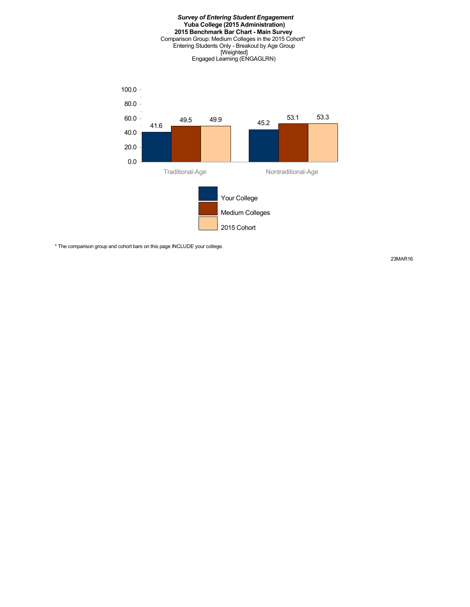

\* The comparison group and cohort bars on this page INCLUDE your college.

23MAR16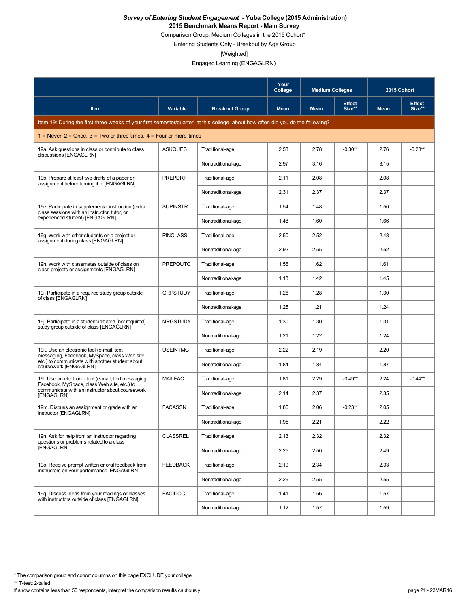Comparison Group: Medium Colleges in the 2015 Cohort\*

Entering Students Only - Breakout by Age Group

[Weighted]

Engaged Learning (ENGAGLRN)

|                                                                                                                                 |                 |                       | Your<br>College | <b>Medium Colleges</b> |                         | 2015 Cohort |                         |
|---------------------------------------------------------------------------------------------------------------------------------|-----------------|-----------------------|-----------------|------------------------|-------------------------|-------------|-------------------------|
| <b>Item</b>                                                                                                                     | Variable        | <b>Breakout Group</b> | <b>Mean</b>     | <b>Mean</b>            | <b>Effect</b><br>Size** | <b>Mean</b> | <b>Effect</b><br>Size** |
| Item 19: During the first three weeks of your first semester/quarter at this college, about how often did you do the following? |                 |                       |                 |                        |                         |             |                         |
| 1 = Never, $2$ = Once, $3$ = Two or three times, $4$ = Four or more times                                                       |                 |                       |                 |                        |                         |             |                         |
| 19a. Ask questions in class or contribute to class<br>discussions [ENGAGLRN]                                                    | <b>ASKQUES</b>  | Traditional-age       | 2.53            | 2.78                   | $-0.30**$               | 2.76        | $-0.28**$               |
|                                                                                                                                 |                 | Nontraditional-age    | 2.97            | 3.16                   |                         | 3.15        |                         |
| 19b. Prepare at least two drafts of a paper or<br>assignment before turning it in [ENGAGLRN]                                    | <b>PREPDRFT</b> | Traditional-age       | 2.11            | 2.08                   |                         | 2.08        |                         |
|                                                                                                                                 |                 | Nontraditional-age    | 2.31            | 2.37                   |                         | 2.37        |                         |
| 19e. Participate in supplemental instruction (extra<br>class sessions with an instructor, tutor, or                             | <b>SUPINSTR</b> | Traditional-age       | 1.54            | 1.48                   |                         | 1.50        |                         |
| experienced student) [ENGAGLRN]                                                                                                 |                 | Nontraditional-age    | 1.48            | 1.60                   |                         | 1.66        |                         |
| 19g. Work with other students on a project or<br>assignment during class [ENGAGLRN]                                             | <b>PINCLASS</b> | Traditional-age       | 2.50            | 2.52                   |                         | 2.48        |                         |
|                                                                                                                                 |                 | Nontraditional-age    | 2.92            | 2.55                   |                         | 2.52        |                         |
| 19h. Work with classmates outside of class on<br>class projects or assignments [ENGAGLRN]                                       | <b>PREPOUTC</b> | Traditional-age       | 1.56            | 1.62                   |                         | 1.61        |                         |
|                                                                                                                                 |                 | Nontraditional-age    | 1.13            | 1.42                   |                         | 1.45        |                         |
| 19. Participate in a required study group outside<br>of class [ENGAGLRN]                                                        | <b>GRPSTUDY</b> | Traditional-age       | 1.26            | 1.28                   |                         | 1.30        |                         |
|                                                                                                                                 |                 | Nontraditional-age    | 1.25            | 1.21                   |                         | 1.24        |                         |
| 19. Participate in a student-initiated (not required)<br>study group outside of class [ENGAGLRN]                                | <b>NRGSTUDY</b> | Traditional-age       | 1.30            | 1.30                   |                         | 1.31        |                         |
|                                                                                                                                 |                 | Nontraditional-age    | 1.21            | 1.22                   |                         | 1.24        |                         |
| 19k. Use an electronic tool (e-mail, text<br>messaging, Facebook, MySpace, class Web site,                                      | <b>USEINTMG</b> | Traditional-age       | 2.22            | 2.19                   |                         | 2.20        |                         |
| etc.) to communicate with another student about<br>coursework [ENGAGLRN]                                                        |                 | Nontraditional-age    | 1.84            | 1.84                   |                         | 1.87        |                         |
| 19. Use an electronic tool (e-mail, text messaging,<br>Facebook, MySpace, class Web site, etc.) to                              | <b>MAILFAC</b>  | Traditional-age       | 1.81            | 2.29                   | $-0.49**$               | 2.24        | $-0.44**$               |
| communicate with an instructor about coursework<br>[ENGAGLRN]                                                                   |                 | Nontraditional-age    | 2.14            | 2.37                   |                         | 2.35        |                         |
| 19m. Discuss an assignment or grade with an<br>instructor [ENGAGLRN]                                                            | <b>FACASSN</b>  | Traditional-age       | 1.86            | 2.06                   | $-0.23**$               | 2.05        |                         |
|                                                                                                                                 |                 | Nontraditional-age    | 1.95            | 2.21                   |                         | 2.22        |                         |
| 19n. Ask for help from an instructor regarding<br>questions or problems related to a class                                      | <b>CLASSREL</b> | Traditional-age       | 2.13            | 2.32                   |                         | 2.32        |                         |
| [ENGAGLRN]                                                                                                                      |                 | Nontraditional-age    | 2.25            | 2.50                   |                         | 2.49        |                         |
| 19o. Receive prompt written or oral feedback from<br>instructors on your performance [ENGAGLRN]                                 | <b>FEEDBACK</b> | Traditional-age       | 2.19            | 2.34                   |                         | 2.33        |                         |
|                                                                                                                                 |                 | Nontraditional-age    | 2.26            | 2.55                   |                         | 2.55        |                         |
| 19g. Discuss ideas from your readings or classes<br>with instructors outside of class [ENGAGLRN]                                | <b>FACIDOC</b>  | Traditional-age       | 1.41            | 1.56                   |                         | 1.57        |                         |
|                                                                                                                                 |                 | Nontraditional-age    | 1.12            | 1.57                   |                         | 1.59        |                         |

\* The comparison group and cohort columns on this page EXCLUDE your college.

\*\* T-test: 2-tailed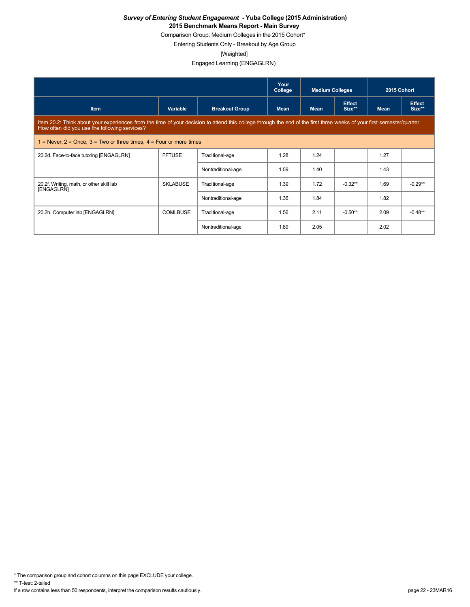Comparison Group: Medium Colleges in the 2015 Cohort\*

Entering Students Only - Breakout by Age Group

[Weighted]

Engaged Learning (ENGAGLRN)

|                                                                                                                                                                                                                         |                 |                       | Your<br>College | <b>Medium Colleges</b> |                         | 2015 Cohort |                         |  |
|-------------------------------------------------------------------------------------------------------------------------------------------------------------------------------------------------------------------------|-----------------|-----------------------|-----------------|------------------------|-------------------------|-------------|-------------------------|--|
| <b>Item</b>                                                                                                                                                                                                             | Variable        | <b>Breakout Group</b> | <b>Mean</b>     | <b>Mean</b>            | <b>Effect</b><br>Size** | <b>Mean</b> | <b>Effect</b><br>Size** |  |
| Item 20.2: Think about your experiences from the time of your decision to attend this college through the end of the first three weeks of your first semester/quarter.<br>How often did you use the following services? |                 |                       |                 |                        |                         |             |                         |  |
| 1 = Never, $2$ = Once, $3$ = Two or three times, $4$ = Four or more times                                                                                                                                               |                 |                       |                 |                        |                         |             |                         |  |
| 20.2d. Face-to-face tutoring [ENGAGLRN]                                                                                                                                                                                 | <b>FFTUSE</b>   | Traditional-age       | 1.28            | 1.24                   |                         | 1.27        |                         |  |
|                                                                                                                                                                                                                         |                 | Nontraditional-age    | 1.59            | 1.40                   |                         | 1.43        |                         |  |
| 20.2f. Writing, math, or other skill lab<br>[ENGAGLRN]                                                                                                                                                                  | <b>SKLABUSE</b> | Traditional-age       | 1.39            | 1.72                   | $-0.32**$               | 1.69        | $-0.29**$               |  |
|                                                                                                                                                                                                                         |                 | Nontraditional-age    | 1.36            | 1.84                   |                         | 1.82        |                         |  |
| 20.2h. Computer lab [ENGAGLRN]                                                                                                                                                                                          | <b>COMLBUSE</b> | Traditional-age       | 1.56            | 2.11                   | $-0.50**$               | 2.09        | $-0.48**$               |  |
|                                                                                                                                                                                                                         |                 | Nontraditional-age    | 1.89            | 2.05                   |                         | 2.02        |                         |  |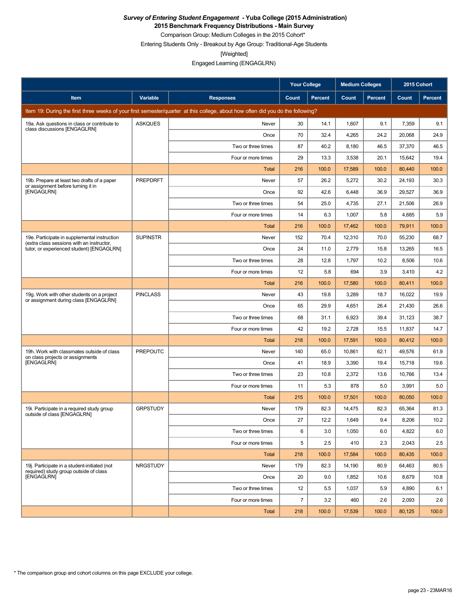**2015 Benchmark Frequency Distributions - Main Survey**

Comparison Group: Medium Colleges in the 2015 Cohort\* Entering Students Only - Breakout by Age Group: Traditional-Age Students

[Weighted]

|                                                                                           |                 |                                                                                                                                 | <b>Your College</b> |                | <b>Medium Colleges</b> |         | 2015 Cohort |                |
|-------------------------------------------------------------------------------------------|-----------------|---------------------------------------------------------------------------------------------------------------------------------|---------------------|----------------|------------------------|---------|-------------|----------------|
| Item                                                                                      | Variable        | <b>Responses</b>                                                                                                                | Count               | <b>Percent</b> | Count                  | Percent | Count       | <b>Percent</b> |
|                                                                                           |                 | Item 19: During the first three weeks of your first semester/quarter at this college, about how often did you do the following? |                     |                |                        |         |             |                |
| 19a. Ask questions in class or contribute to<br>class discussions [ENGAGLRN]              | <b>ASKQUES</b>  | Never                                                                                                                           | 30                  | 14.1           | 1,607                  | 9.1     | 7,359       | 9.1            |
|                                                                                           |                 | Once                                                                                                                            | 70                  | 32.4           | 4,265                  | 24.2    | 20,068      | 24.9           |
|                                                                                           |                 | Two or three times                                                                                                              | 87                  | 40.2           | 8,180                  | 46.5    | 37,370      | 46.5           |
|                                                                                           |                 | Four or more times                                                                                                              | 29                  | 13.3           | 3,538                  | 20.1    | 15,642      | 19.4           |
|                                                                                           |                 | Total                                                                                                                           | 216                 | 100.0          | 17,589                 | 100.0   | 80,440      | 100.0          |
| 19b. Prepare at least two drafts of a paper<br>or assignment before turning it in         | PREPDRFT        | Never                                                                                                                           | 57                  | 26.2           | 5,272                  | 30.2    | 24,193      | 30.3           |
| [ENGAGLRN]                                                                                |                 | Once                                                                                                                            | 92                  | 42.6           | 6,448                  | 36.9    | 29,527      | 36.9           |
|                                                                                           |                 | Two or three times                                                                                                              | 54                  | 25.0           | 4,735                  | 27.1    | 21,506      | 26.9           |
|                                                                                           |                 | Four or more times                                                                                                              | 14                  | 6.3            | 1,007                  | 5.8     | 4,685       | 5.9            |
|                                                                                           |                 | Total                                                                                                                           | 216                 | 100.0          | 17,462                 | 100.0   | 79,911      | 100.0          |
| 19e. Participate in supplemental instruction<br>(extra class sessions with an instructor, | <b>SUPINSTR</b> | Never                                                                                                                           | 152                 | 70.4           | 12,310                 | 70.0    | 55,230      | 68.7           |
| tutor, or experienced student) [ENGAGLRN]                                                 |                 | Once                                                                                                                            | 24                  | 11.0           | 2,779                  | 15.8    | 13,265      | 16.5           |
|                                                                                           |                 | Two or three times                                                                                                              | 28                  | 12.8           | 1,797                  | 10.2    | 8,506       | 10.6           |
|                                                                                           |                 | Four or more times                                                                                                              | 12                  | 5.8            | 694                    | 3.9     | 3,410       | 4.2            |
|                                                                                           |                 | <b>Total</b>                                                                                                                    | 216                 | 100.0          | 17,580                 | 100.0   | 80,411      | 100.0          |
| 19g. Work with other students on a project<br>or assignment during class [ENGAGLRN]       | <b>PINCLASS</b> | Never                                                                                                                           | 43                  | 19.8           | 3,289                  | 18.7    | 16,022      | 19.9           |
|                                                                                           |                 | Once                                                                                                                            | 65                  | 29.9           | 4,651                  | 26.4    | 21,430      | 26.6           |
|                                                                                           |                 | Two or three times                                                                                                              | 68                  | 31.1           | 6,923                  | 39.4    | 31,123      | 38.7           |
|                                                                                           |                 | Four or more times                                                                                                              | 42                  | 19.2           | 2,728                  | 15.5    | 11,837      | 14.7           |
|                                                                                           |                 | Total                                                                                                                           | 218                 | 100.0          | 17,591                 | 100.0   | 80,412      | 100.0          |
| 19h. Work with classmates outside of class<br>on class projects or assignments            | <b>PREPOUTC</b> | Never                                                                                                                           | 140                 | 65.0           | 10,861                 | 62.1    | 49,576      | 61.9           |
| [ENGAGLRN]                                                                                |                 | Once                                                                                                                            | 41                  | 18.9           | 3,390                  | 19.4    | 15,718      | 19.6           |
|                                                                                           |                 | Two or three times                                                                                                              | 23                  | 10.8           | 2,372                  | 13.6    | 10,766      | 13.4           |
|                                                                                           |                 | Four or more times                                                                                                              | 11                  | 5.3            | 878                    | 5.0     | 3,991       | 5.0            |
|                                                                                           |                 | Total                                                                                                                           | 215                 | 100.0          | 17,501                 | 100.0   | 80,050      | 100.0          |
| 19i. Participate in a required study group<br>outside of class [ENGAGLRN]                 | <b>GRPSTUDY</b> | Never                                                                                                                           | 179                 | 82.3           | 14,475                 | 82.3    | 65,364      | 81.3           |
|                                                                                           |                 | Once                                                                                                                            | 27                  | 12.2           | 1,649                  | 9.4     | 8,206       | 10.2           |
|                                                                                           |                 | Two or three times                                                                                                              | 6                   | 3.0            | 1,050                  | 6.0     | 4,822       | 6.0            |
|                                                                                           |                 | Four or more times                                                                                                              | 5                   | 2.5            | 410                    | 2.3     | 2,043       | 2.5            |
|                                                                                           |                 | <b>Total</b>                                                                                                                    | 218                 | 100.0          | 17,584                 | 100.0   | 80,435      | 100.0          |
| 19j. Participate in a student-initiated (not<br>required) study group outside of class    | <b>NRGSTUDY</b> | Never                                                                                                                           | 179                 | 82.3           | 14,190                 | 80.9    | 64,463      | 80.5           |
| <b>IENGAGLRNI</b>                                                                         |                 | Once                                                                                                                            | 20                  | 9.0            | 1,852                  | 10.6    | 8,679       | 10.8           |
|                                                                                           |                 | Two or three times                                                                                                              | 12                  | 5.5            | 1,037                  | 5.9     | 4,890       | 6.1            |
|                                                                                           |                 | Four or more times                                                                                                              | $\overline{7}$      | 3.2            | 460                    | 2.6     | 2,093       | 2.6            |
|                                                                                           |                 | <b>Total</b>                                                                                                                    | 218                 | 100.0          | 17,539                 | 100.0   | 80,125      | 100.0          |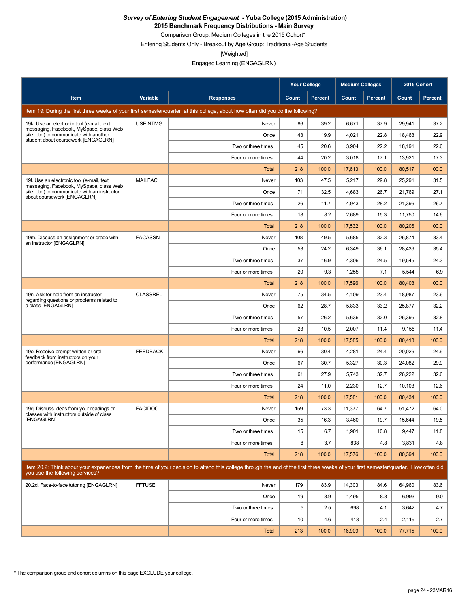**2015 Benchmark Frequency Distributions - Main Survey**

Comparison Group: Medium Colleges in the 2015 Cohort\*

Entering Students Only - Breakout by Age Group: Traditional-Age Students

[Weighted]

|                                                                                                                           |                 |                                                                                                                                                                                      | <b>Your College</b> |                | <b>Medium Colleges</b> |                | 2015 Cohort  |         |
|---------------------------------------------------------------------------------------------------------------------------|-----------------|--------------------------------------------------------------------------------------------------------------------------------------------------------------------------------------|---------------------|----------------|------------------------|----------------|--------------|---------|
| Item                                                                                                                      | Variable        | <b>Responses</b>                                                                                                                                                                     | Count               | <b>Percent</b> | Count                  | <b>Percent</b> | <b>Count</b> | Percent |
|                                                                                                                           |                 | Item 19: During the first three weeks of your first semester/quarter at this college, about how often did you do the following?                                                      |                     |                |                        |                |              |         |
| 19k. Use an electronic tool (e-mail, text                                                                                 | <b>USEINTMG</b> | Never                                                                                                                                                                                | 86                  | 39.2           | 6,671                  | 37.9           | 29,941       | 37.2    |
| messaging, Facebook, MySpace, class Web<br>site, etc.) to communicate with another<br>student about coursework [ENGAGLRN] |                 | Once                                                                                                                                                                                 | 43                  | 19.9           | 4,021                  | 22.8           | 18,463       | 22.9    |
|                                                                                                                           |                 | Two or three times                                                                                                                                                                   | 45                  | 20.6           | 3,904                  | 22.2           | 18,191       | 22.6    |
|                                                                                                                           |                 | Four or more times                                                                                                                                                                   | 44                  | 20.2           | 3,018                  | 17.1           | 13,921       | 17.3    |
|                                                                                                                           |                 | Total                                                                                                                                                                                | 218                 | 100.0          | 17,613                 | 100.0          | 80,517       | 100.0   |
| 19. Use an electronic tool (e-mail, text<br>messaging, Facebook, MySpace, class Web                                       | <b>MAILFAC</b>  | Never                                                                                                                                                                                | 103                 | 47.5           | 5,217                  | 29.8           | 25,291       | 31.5    |
| site, etc.) to communicate with an instructor<br>about coursework [ENGAGLRN]                                              |                 | Once                                                                                                                                                                                 | 71                  | 32.5           | 4,683                  | 26.7           | 21,769       | 27.1    |
|                                                                                                                           |                 | Two or three times                                                                                                                                                                   | 26                  | 11.7           | 4,943                  | 28.2           | 21,396       | 26.7    |
|                                                                                                                           |                 | Four or more times                                                                                                                                                                   | 18                  | 8.2            | 2,689                  | 15.3           | 11,750       | 14.6    |
|                                                                                                                           |                 | <b>Total</b>                                                                                                                                                                         | 218                 | 100.0          | 17,532                 | 100.0          | 80,206       | 100.0   |
| 19m. Discuss an assignment or grade with<br>an instructor [ENGAGLRN]                                                      | <b>FACASSN</b>  | Never                                                                                                                                                                                | 108                 | 49.5           | 5,685                  | 32.3           | 26,874       | 33.4    |
|                                                                                                                           |                 | Once                                                                                                                                                                                 | 53                  | 24.2           | 6,349                  | 36.1           | 28,439       | 35.4    |
|                                                                                                                           |                 | Two or three times                                                                                                                                                                   | 37                  | 16.9           | 4,306                  | 24.5           | 19,545       | 24.3    |
|                                                                                                                           |                 | Four or more times                                                                                                                                                                   | 20                  | 9.3            | 1,255                  | 7.1            | 5,544        | 6.9     |
|                                                                                                                           |                 | <b>Total</b>                                                                                                                                                                         | 218                 | 100.0          | 17,596                 | 100.0          | 80,403       | 100.0   |
| 19n. Ask for help from an instructor<br>regarding questions or problems related to                                        | <b>CLASSREL</b> | Never                                                                                                                                                                                | 75                  | 34.5           | 4,109                  | 23.4           | 18,987       | 23.6    |
| a class [ENGAGLRN]                                                                                                        |                 | Once                                                                                                                                                                                 | 62                  | 28.7           | 5,833                  | 33.2           | 25,877       | 32.2    |
|                                                                                                                           |                 | Two or three times                                                                                                                                                                   | 57                  | 26.2           | 5,636                  | 32.0           | 26,395       | 32.8    |
|                                                                                                                           |                 | Four or more times                                                                                                                                                                   | 23                  | 10.5           | 2,007                  | 11.4           | 9,155        | 11.4    |
|                                                                                                                           |                 | <b>Total</b>                                                                                                                                                                         | 218                 | 100.0          | 17,585                 | 100.0          | 80,413       | 100.0   |
| 19o. Receive prompt written or oral<br>feedback from instructors on your                                                  | <b>FEEDBACK</b> | Never                                                                                                                                                                                | 66                  | 30.4           | 4,281                  | 24.4           | 20,026       | 24.9    |
| performance [ENGAGLRN]                                                                                                    |                 | Once                                                                                                                                                                                 | 67                  | 30.7           | 5,327                  | 30.3           | 24,082       | 29.9    |
|                                                                                                                           |                 | Two or three times                                                                                                                                                                   | 61                  | 27.9           | 5,743                  | 32.7           | 26,222       | 32.6    |
|                                                                                                                           |                 | Four or more times                                                                                                                                                                   | 24                  | 11.0           | 2,230                  | 12.7           | 10,103       | 12.6    |
|                                                                                                                           |                 | <b>Total</b>                                                                                                                                                                         | 218                 | 100.0          | 17,581                 | 100.0          | 80,434       | 100.0   |
| 19g. Discuss ideas from your readings or<br>classes with instructors outside of class                                     | <b>FACIDOC</b>  | Never                                                                                                                                                                                | 159                 | 73.3           | 11,377                 | 64.7           | 51,472       | 64.0    |
| [ENGAGLRN]                                                                                                                |                 | Once                                                                                                                                                                                 | 35                  | 16.3           | 3,460                  | 19.7           | 15,644       | 19.5    |
|                                                                                                                           |                 | Two or three times                                                                                                                                                                   | 15                  | 6.7            | 1,901                  | 10.8           | 9,447        | 11.8    |
|                                                                                                                           |                 | Four or more times                                                                                                                                                                   | 8                   | 3.7            | 838                    | 4.8            | 3,831        | 4.8     |
|                                                                                                                           |                 | Total                                                                                                                                                                                | 218                 | 100.0          | 17,576                 | 100.0          | 80,394       | 100.0   |
| you use the following services?                                                                                           |                 | Item 20.2: Think about your experiences from the time of your decision to attend this college through the end of the first three weeks of your first semester/quarter. How often did |                     |                |                        |                |              |         |
| 20.2d. Face-to-face tutoring [ENGAGLRN]                                                                                   | <b>FFTUSE</b>   | Never                                                                                                                                                                                | 179                 | 83.9           | 14,303                 | 84.6           | 64,960       | 83.6    |
|                                                                                                                           |                 | Once                                                                                                                                                                                 | 19                  | 8.9            | 1,495                  | 8.8            | 6,993        | 9.0     |
|                                                                                                                           |                 | Two or three times                                                                                                                                                                   | 5                   | 2.5            | 698                    | 4.1            | 3,642        | 4.7     |
|                                                                                                                           |                 | Four or more times                                                                                                                                                                   | 10                  | 4.6            | 413                    | 2.4            | 2,119        | 2.7     |
|                                                                                                                           |                 | Total                                                                                                                                                                                | 213                 | 100.0          | 16,909                 | 100.0          | 77,715       | 100.0   |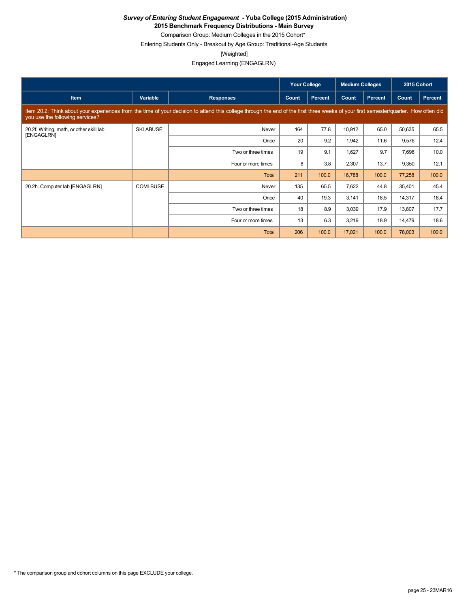**2015 Benchmark Frequency Distributions - Main Survey**

Comparison Group: Medium Colleges in the 2015 Cohort\* Entering Students Only - Breakout by Age Group: Traditional-Age Students

[Weighted]

|                                                        |                 |                                                                                                                                                                                      | <b>Your College</b> |                | <b>Medium Colleges</b> |                | 2015 Cohort |         |
|--------------------------------------------------------|-----------------|--------------------------------------------------------------------------------------------------------------------------------------------------------------------------------------|---------------------|----------------|------------------------|----------------|-------------|---------|
| Item                                                   | Variable        | <b>Responses</b>                                                                                                                                                                     | Count               | <b>Percent</b> | Count                  | <b>Percent</b> | Count       | Percent |
| you use the following services?                        |                 | Item 20.2: Think about your experiences from the time of your decision to attend this college through the end of the first three weeks of your first semester/quarter. How often did |                     |                |                        |                |             |         |
| 20.2f. Writing, math, or other skill lab<br>[ENGAGLRN] | <b>SKLABUSE</b> | Never                                                                                                                                                                                | 164                 | 77.8           | 10,912                 | 65.0           | 50,635      | 65.5    |
|                                                        |                 | Once                                                                                                                                                                                 | 20                  | 9.2            | 1,942                  | 11.6           | 9,576       | 12.4    |
|                                                        |                 | Two or three times                                                                                                                                                                   | 19                  | 9.1            | 1,627                  | 9.7            | 7,698       | 10.0    |
|                                                        |                 | Four or more times                                                                                                                                                                   | 8                   | 3.8            | 2,307                  | 13.7           | 9,350       | 12.1    |
|                                                        |                 | Total                                                                                                                                                                                | 211                 | 100.0          | 16,788                 | 100.0          | 77,258      | 100.0   |
| 20.2h. Computer lab [ENGAGLRN]                         | <b>COMLBUSE</b> | Never                                                                                                                                                                                | 135                 | 65.5           | 7,622                  | 44.8           | 35,401      | 45.4    |
|                                                        |                 | Once                                                                                                                                                                                 | 40                  | 19.3           | 3,141                  | 18.5           | 14,317      | 18.4    |
|                                                        |                 | Two or three times                                                                                                                                                                   | 18                  | 8.9            | 3,039                  | 17.9           | 13,807      | 17.7    |
|                                                        |                 | Four or more times                                                                                                                                                                   | 13                  | 6.3            | 3,219                  | 18.9           | 14,479      | 18.6    |
|                                                        |                 | Total                                                                                                                                                                                | 206                 | 100.0          | 17,021                 | 100.0          | 78,003      | 100.0   |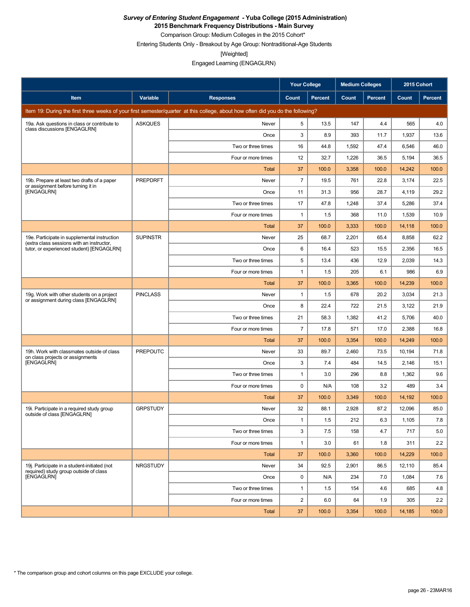**2015 Benchmark Frequency Distributions - Main Survey**

Comparison Group: Medium Colleges in the 2015 Cohort\* Entering Students Only - Breakout by Age Group: Nontraditional-Age Students

[Weighted]

Engaged Learning (ENGAGLRN)

|                                                                                           |                 |                                                                                                                                 | <b>Your College</b> |                | <b>Medium Colleges</b> |                | 2015 Cohort |                |
|-------------------------------------------------------------------------------------------|-----------------|---------------------------------------------------------------------------------------------------------------------------------|---------------------|----------------|------------------------|----------------|-------------|----------------|
| Item                                                                                      | Variable        | <b>Responses</b>                                                                                                                | Count               | <b>Percent</b> | Count                  | <b>Percent</b> | Count       | <b>Percent</b> |
|                                                                                           |                 | Item 19: During the first three weeks of your first semester/quarter at this college, about how often did you do the following? |                     |                |                        |                |             |                |
| 19a. Ask questions in class or contribute to<br>class discussions [ENGAGLRN]              | <b>ASKQUES</b>  | Never                                                                                                                           | 5                   | 13.5           | 147                    | 4.4            | 565         | 4.0            |
|                                                                                           |                 | Once                                                                                                                            | 3                   | 8.9            | 393                    | 11.7           | 1,937       | 13.6           |
|                                                                                           |                 | Two or three times                                                                                                              | 16                  | 44.8           | 1,592                  | 47.4           | 6,546       | 46.0           |
|                                                                                           |                 | Four or more times                                                                                                              | 12                  | 32.7           | 1,226                  | 36.5           | 5,194       | 36.5           |
|                                                                                           |                 | Total                                                                                                                           | 37                  | 100.0          | 3,358                  | 100.0          | 14,242      | 100.0          |
| 19b. Prepare at least two drafts of a paper<br>or assignment before turning it in         | <b>PREPDRFT</b> | Never                                                                                                                           | $\overline{7}$      | 19.5           | 761                    | 22.8           | 3,174       | 22.5           |
| [ENGAGLRN]                                                                                |                 | Once                                                                                                                            | 11                  | 31.3           | 956                    | 28.7           | 4,119       | 29.2           |
|                                                                                           |                 | Two or three times                                                                                                              | 17                  | 47.8           | 1,248                  | 37.4           | 5,286       | 37.4           |
|                                                                                           |                 | Four or more times                                                                                                              | 1                   | 1.5            | 368                    | 11.0           | 1,539       | 10.9           |
|                                                                                           |                 | Total                                                                                                                           | 37                  | 100.0          | 3,333                  | 100.0          | 14,118      | 100.0          |
| 19e. Participate in supplemental instruction<br>(extra class sessions with an instructor, | <b>SUPINSTR</b> | Never                                                                                                                           | 25                  | 68.7           | 2,201                  | 65.4           | 8,858       | 62.2           |
| tutor, or experienced student) [ENGAGLRN]                                                 |                 | Once                                                                                                                            | 6                   | 16.4           | 523                    | 15.5           | 2,356       | 16.5           |
|                                                                                           |                 | Two or three times                                                                                                              | 5                   | 13.4           | 436                    | 12.9           | 2,039       | 14.3           |
|                                                                                           |                 | Four or more times                                                                                                              | $\mathbf{1}$        | 1.5            | 205                    | 6.1            | 986         | 6.9            |
|                                                                                           |                 | <b>Total</b>                                                                                                                    | 37                  | 100.0          | 3,365                  | 100.0          | 14,239      | 100.0          |
| 19g. Work with other students on a project<br>or assignment during class [ENGAGLRN]       | <b>PINCLASS</b> | Never                                                                                                                           | 1                   | 1.5            | 678                    | 20.2           | 3,034       | 21.3           |
|                                                                                           |                 | Once                                                                                                                            | 8                   | 22.4           | 722                    | 21.5           | 3,122       | 21.9           |
|                                                                                           |                 | Two or three times                                                                                                              | 21                  | 58.3           | 1,382                  | 41.2           | 5,706       | 40.0           |
|                                                                                           |                 | Four or more times                                                                                                              | $\overline{7}$      | 17.8           | 571                    | 17.0           | 2,388       | 16.8           |
|                                                                                           |                 | Total                                                                                                                           | 37                  | 100.0          | 3,354                  | 100.0          | 14,249      | 100.0          |
| 19h. Work with classmates outside of class<br>on class projects or assignments            | <b>PREPOUTC</b> | Never                                                                                                                           | 33                  | 89.7           | 2,460                  | 73.5           | 10,194      | 71.8           |
| [ENGAGLRN]                                                                                |                 | Once                                                                                                                            | 3                   | 7.4            | 484                    | 14.5           | 2,146       | 15.1           |
|                                                                                           |                 | Two or three times                                                                                                              | 1                   | 3.0            | 296                    | 8.8            | 1,362       | 9.6            |
|                                                                                           |                 | Four or more times                                                                                                              | 0                   | N/A            | 108                    | 3.2            | 489         | 3.4            |
|                                                                                           |                 | Total                                                                                                                           | 37                  | 100.0          | 3,349                  | 100.0          | 14,192      | 100.0          |
| 19i. Participate in a required study group<br>outside of class [ENGAGLRN]                 | <b>GRPSTUDY</b> | Never                                                                                                                           | 32                  | 88.1           | 2,928                  | 87.2           | 12,096      | 85.0           |
|                                                                                           |                 | Once                                                                                                                            | $\mathbf{1}$        | 1.5            | 212                    | 6.3            | 1,105       | 7.8            |
|                                                                                           |                 | Two or three times                                                                                                              | 3                   | 7.5            | 158                    | 4.7            | 717         | 5.0            |
|                                                                                           |                 | Four or more times                                                                                                              | $\mathbf{1}$        | 3.0            | 61                     | 1.8            | 311         | 2.2            |
|                                                                                           |                 | Total                                                                                                                           | 37                  | 100.0          | 3,360                  | 100.0          | 14,229      | 100.0          |
| 19i. Participate in a student-initiated (not<br>required) study group outside of class    | <b>NRGSTUDY</b> | Never                                                                                                                           | 34                  | 92.5           | 2,901                  | 86.5           | 12,110      | 85.4           |
| [ENGAGLRN]                                                                                |                 | Once                                                                                                                            | 0                   | N/A            | 234                    | 7.0            | 1,084       | 7.6            |
|                                                                                           |                 | Two or three times                                                                                                              | 1                   | 1.5            | 154                    | 4.6            | 685         | 4.8            |
|                                                                                           |                 | Four or more times                                                                                                              | $\overline{c}$      | 6.0            | 64                     | 1.9            | 305         | 2.2            |
|                                                                                           |                 | Total                                                                                                                           | 37                  | 100.0          | 3,354                  | 100.0          | 14,185      | 100.0          |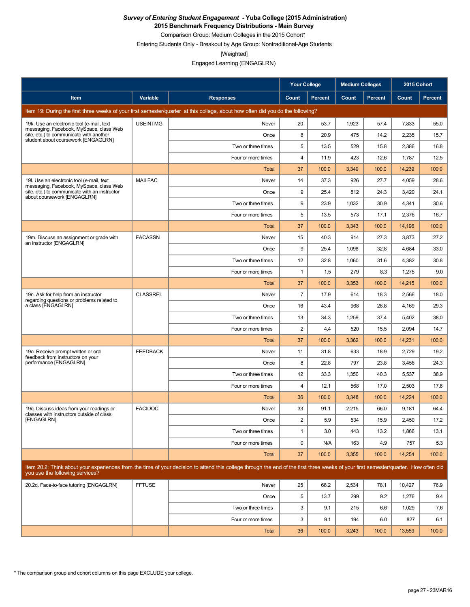**2015 Benchmark Frequency Distributions - Main Survey**

Comparison Group: Medium Colleges in the 2015 Cohort\*

Entering Students Only - Breakout by Age Group: Nontraditional-Age Students

[Weighted]

|                                                                                       |                 |                                                                                                                                                                                      | <b>Your College</b>     |                | <b>Medium Colleges</b> |                | 2015 Cohort  |         |
|---------------------------------------------------------------------------------------|-----------------|--------------------------------------------------------------------------------------------------------------------------------------------------------------------------------------|-------------------------|----------------|------------------------|----------------|--------------|---------|
| Item                                                                                  | Variable        | <b>Responses</b>                                                                                                                                                                     | Count                   | <b>Percent</b> | Count                  | <b>Percent</b> | <b>Count</b> | Percent |
|                                                                                       |                 | Item 19: During the first three weeks of your first semester/quarter at this college, about how often did you do the following?                                                      |                         |                |                        |                |              |         |
| 19k. Use an electronic tool (e-mail, text<br>messaging, Facebook, MySpace, class Web  | <b>USEINTMG</b> | Never                                                                                                                                                                                | 20                      | 53.7           | 1,923                  | 57.4           | 7,833        | 55.0    |
| site, etc.) to communicate with another<br>student about coursework [ENGAGLRN]        |                 | Once                                                                                                                                                                                 | 8                       | 20.9           | 475                    | 14.2           | 2,235        | 15.7    |
|                                                                                       |                 | Two or three times                                                                                                                                                                   | 5                       | 13.5           | 529                    | 15.8           | 2,386        | 16.8    |
|                                                                                       |                 | Four or more times                                                                                                                                                                   | $\overline{4}$          | 11.9           | 423                    | 12.6           | 1,787        | 12.5    |
|                                                                                       |                 | Total                                                                                                                                                                                | 37                      | 100.0          | 3,349                  | 100.0          | 14,239       | 100.0   |
| 19. Use an electronic tool (e-mail, text<br>messaging, Facebook, MySpace, class Web   | <b>MAILFAC</b>  | Never                                                                                                                                                                                | 14                      | 37.3           | 926                    | 27.7           | 4,059        | 28.6    |
| site, etc.) to communicate with an instructor<br>about coursework [ENGAGLRN]          |                 | Once                                                                                                                                                                                 | 9                       | 25.4           | 812                    | 24.3           | 3,420        | 24.1    |
|                                                                                       |                 | Two or three times                                                                                                                                                                   | 9                       | 23.9           | 1,032                  | 30.9           | 4,341        | 30.6    |
|                                                                                       |                 | Four or more times                                                                                                                                                                   | 5                       | 13.5           | 573                    | 17.1           | 2,376        | 16.7    |
|                                                                                       |                 | <b>Total</b>                                                                                                                                                                         | 37                      | 100.0          | 3,343                  | 100.0          | 14,196       | 100.0   |
| 19m. Discuss an assignment or grade with<br>an instructor [ENGAGLRN]                  | <b>FACASSN</b>  | Never                                                                                                                                                                                | 15                      | 40.3           | 914                    | 27.3           | 3,873        | 27.2    |
|                                                                                       |                 | Once                                                                                                                                                                                 | 9                       | 25.4           | 1,098                  | 32.8           | 4,684        | 33.0    |
|                                                                                       |                 | Two or three times                                                                                                                                                                   | 12                      | 32.8           | 1,060                  | 31.6           | 4,382        | 30.8    |
|                                                                                       |                 | Four or more times                                                                                                                                                                   | $\mathbf{1}$            | 1.5            | 279                    | 8.3            | 1,275        | 9.0     |
|                                                                                       |                 | <b>Total</b>                                                                                                                                                                         | 37                      | 100.0          | 3,353                  | 100.0          | 14,215       | 100.0   |
| 19n. Ask for help from an instructor<br>regarding questions or problems related to    | <b>CLASSREL</b> | Never                                                                                                                                                                                | $\overline{7}$          | 17.9           | 614                    | 18.3           | 2,566        | 18.0    |
| a class [ENGAGLRN]                                                                    |                 | Once                                                                                                                                                                                 | 16                      | 43.4           | 968                    | 28.8           | 4,169        | 29.3    |
|                                                                                       |                 | Two or three times                                                                                                                                                                   | 13                      | 34.3           | 1,259                  | 37.4           | 5,402        | 38.0    |
|                                                                                       |                 | Four or more times                                                                                                                                                                   | $\overline{2}$          | 4.4            | 520                    | 15.5           | 2,094        | 14.7    |
|                                                                                       |                 | Total                                                                                                                                                                                | 37                      | 100.0          | 3,362                  | 100.0          | 14,231       | 100.0   |
| 19o. Receive prompt written or oral<br>feedback from instructors on your              | <b>FEEDBACK</b> | Never                                                                                                                                                                                | 11                      | 31.8           | 633                    | 18.9           | 2,729        | 19.2    |
| performance [ENGAGLRN]                                                                |                 | Once                                                                                                                                                                                 | 8                       | 22.8           | 797                    | 23.8           | 3,456        | 24.3    |
|                                                                                       |                 | Two or three times                                                                                                                                                                   | 12                      | 33.3           | 1,350                  | 40.3           | 5,537        | 38.9    |
|                                                                                       |                 | Four or more times                                                                                                                                                                   | $\overline{4}$          | 12.1           | 568                    | 17.0           | 2,503        | 17.6    |
|                                                                                       |                 | <b>Total</b>                                                                                                                                                                         | 36                      | 100.0          | 3,348                  | 100.0          | 14,224       | 100.0   |
| 19g. Discuss ideas from your readings or<br>classes with instructors outside of class | <b>FACIDOC</b>  | Never                                                                                                                                                                                | 33                      | 91.1           | 2,215                  | 66.0           | 9,181        | 64.4    |
| [ENGAGLRN]                                                                            |                 | Once                                                                                                                                                                                 | $\overline{\mathbf{c}}$ | 5.9            | 534                    | 15.9           | 2,450        | 17.2    |
|                                                                                       |                 | Two or three times                                                                                                                                                                   | $\mathbf{1}$            | 3.0            | 443                    | 13.2           | 1,866        | 13.1    |
|                                                                                       |                 | Four or more times                                                                                                                                                                   | $\mathbf 0$             | N/A            | 163                    | 4.9            | 757          | 5.3     |
|                                                                                       |                 | Total                                                                                                                                                                                | 37                      | 100.0          | 3,355                  | 100.0          | 14,254       | 100.0   |
| you use the following services?                                                       |                 | Item 20.2: Think about your experiences from the time of your decision to attend this college through the end of the first three weeks of your first semester/quarter. How often did |                         |                |                        |                |              |         |
| 20.2d. Face-to-face tutoring [ENGAGLRN]                                               | <b>FFTUSE</b>   | Never                                                                                                                                                                                | 25                      | 68.2           | 2,534                  | 78.1           | 10,427       | 76.9    |
|                                                                                       |                 | Once                                                                                                                                                                                 | 5                       | 13.7           | 299                    | 9.2            | 1,276        | 9.4     |
|                                                                                       |                 | Two or three times                                                                                                                                                                   | 3                       | 9.1            | 215                    | 6.6            | 1,029        | 7.6     |
|                                                                                       |                 | Four or more times                                                                                                                                                                   | 3                       | 9.1            | 194                    | 6.0            | 827          | 6.1     |
|                                                                                       |                 | Total                                                                                                                                                                                | 36                      | 100.0          | 3,243                  | 100.0          | 13,559       | 100.0   |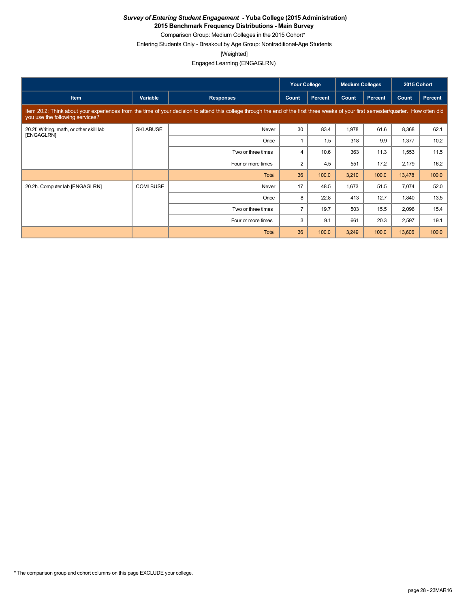**2015 Benchmark Frequency Distributions - Main Survey**

Comparison Group: Medium Colleges in the 2015 Cohort\* Entering Students Only - Breakout by Age Group: Nontraditional-Age Students

[Weighted]

|                                                                                                                                                                                                                         |                 |                    | <b>Your College</b> |                | <b>Medium Colleges</b> |         | 2015 Cohort |         |  |
|-------------------------------------------------------------------------------------------------------------------------------------------------------------------------------------------------------------------------|-----------------|--------------------|---------------------|----------------|------------------------|---------|-------------|---------|--|
| <b>Item</b>                                                                                                                                                                                                             | Variable        | <b>Responses</b>   | Count               | <b>Percent</b> | Count                  | Percent | Count       | Percent |  |
| Item 20.2: Think about your experiences from the time of your decision to attend this college through the end of the first three weeks of your first semester/quarter. How often did<br>you use the following services? |                 |                    |                     |                |                        |         |             |         |  |
| 20.2f. Writing, math, or other skill lab<br>[ENGAGLRN]                                                                                                                                                                  | <b>SKLABUSE</b> | Never              | 30                  | 83.4           | 1,978                  | 61.6    | 8,368       | 62.1    |  |
|                                                                                                                                                                                                                         |                 | Once               |                     | 1.5            | 318                    | 9.9     | 1,377       | 10.2    |  |
|                                                                                                                                                                                                                         |                 | Two or three times | 4                   | 10.6           | 363                    | 11.3    | 1,553       | 11.5    |  |
|                                                                                                                                                                                                                         |                 | Four or more times | $\overline{c}$      | 4.5            | 551                    | 17.2    | 2,179       | 16.2    |  |
|                                                                                                                                                                                                                         |                 | Total              | 36                  | 100.0          | 3,210                  | 100.0   | 13,478      | 100.0   |  |
| 20.2h. Computer lab [ENGAGLRN]                                                                                                                                                                                          | <b>COMLBUSE</b> | Never              | 17                  | 48.5           | 1,673                  | 51.5    | 7,074       | 52.0    |  |
|                                                                                                                                                                                                                         |                 | Once               | 8                   | 22.8           | 413                    | 12.7    | 1,840       | 13.5    |  |
|                                                                                                                                                                                                                         |                 | Two or three times | $\overline{7}$      | 19.7           | 503                    | 15.5    | 2,096       | 15.4    |  |
|                                                                                                                                                                                                                         |                 | Four or more times | 3                   | 9.1            | 661                    | 20.3    | 2,597       | 19.1    |  |
|                                                                                                                                                                                                                         |                 | Total              | 36                  | 100.0          | 3,249                  | 100.0   | 13,606      | 100.0   |  |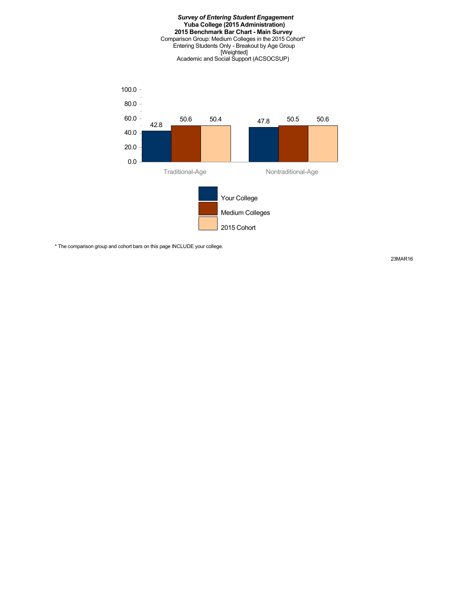#### *Survey of Entering Student Engagement* **Yuba College (2015 Administration) 2015 Benchmark Bar Chart - Main Survey** Comparison Group: Medium Colleges in the 2015 Cohort\* Entering Students Only - Breakout by Age Group [Weighted] Academic and Social Support (ACSOCSUP)



\* The comparison group and cohort bars on this page INCLUDE your college.

23MAR16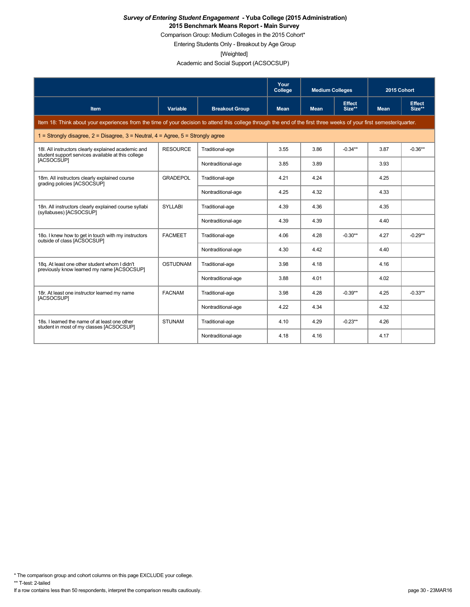Comparison Group: Medium Colleges in the 2015 Cohort\*

Entering Students Only - Breakout by Age Group

[Weighted]

Academic and Social Support (ACSOCSUP)

|                                                                                                                                                                      |                 |                       | Your<br>College | <b>Medium Colleges</b> |                         | 2015 Cohort |                         |
|----------------------------------------------------------------------------------------------------------------------------------------------------------------------|-----------------|-----------------------|-----------------|------------------------|-------------------------|-------------|-------------------------|
| <b>Item</b>                                                                                                                                                          | Variable        | <b>Breakout Group</b> | <b>Mean</b>     | <b>Mean</b>            | <b>Effect</b><br>Size** | <b>Mean</b> | <b>Effect</b><br>Size** |
| Item 18: Think about your experiences from the time of your decision to attend this college through the end of the first three weeks of your first semester/quarter. |                 |                       |                 |                        |                         |             |                         |
| 1 = Strongly disagree, $2$ = Disagree, $3$ = Neutral, $4$ = Agree, $5$ = Strongly agree                                                                              |                 |                       |                 |                        |                         |             |                         |
| 18I. All instructors clearly explained academic and<br>student support services available at this college                                                            | <b>RESOURCE</b> | Traditional-age       | 3.55            | 3.86                   | $-0.34**$               | 3.87        | $-0.36**$               |
| [ACSOCSUP]                                                                                                                                                           |                 | Nontraditional-age    | 3.85            | 3.89                   |                         | 3.93        |                         |
| 18m. All instructors clearly explained course<br>grading policies [ACSOCSUP]                                                                                         | <b>GRADEPOL</b> | Traditional-age       | 4.21            | 4.24                   |                         | 4.25        |                         |
|                                                                                                                                                                      |                 | Nontraditional-age    | 4.25            | 4.32                   |                         | 4.33        |                         |
| 18n. All instructors clearly explained course syllabi<br>(syllabuses) [ACSOCSUP]                                                                                     | <b>SYLLABI</b>  | Traditional-age       | 4.39            | 4.36                   |                         | 4.35        |                         |
|                                                                                                                                                                      |                 | Nontraditional-age    | 4.39            | 4.39                   |                         | 4.40        |                         |
| 180. I knew how to get in touch with my instructors<br>outside of class [ACSOCSUP]                                                                                   | <b>FACMEET</b>  | Traditional-age       | 4.06            | 4.28                   | $-0.30**$               | 4.27        | $-0.29**$               |
|                                                                                                                                                                      |                 | Nontraditional-age    | 4.30            | 4.42                   |                         | 4.40        |                         |
| 18g. At least one other student whom I didn't<br>previously know learned my name [ACSOCSUP]                                                                          | <b>OSTUDNAM</b> | Traditional-age       | 3.98            | 4.18                   |                         | 4.16        |                         |
|                                                                                                                                                                      |                 | Nontraditional-age    | 3.88            | 4.01                   |                         | 4.02        |                         |
| 18r. At least one instructor learned my name<br>[ACSOCSUP]                                                                                                           | <b>FACNAM</b>   | Traditional-age       | 3.98            | 4.28                   | $-0.39**$               | 4.25        | $-0.33**$               |
|                                                                                                                                                                      |                 | Nontraditional-age    | 4.22            | 4.34                   |                         | 4.32        |                         |
| 18s. I learned the name of at least one other<br>student in most of my classes [ACSOCSUP]                                                                            | <b>STUNAM</b>   | Traditional-age       | 4.10            | 4.29                   | $-0.23**$               | 4.26        |                         |
|                                                                                                                                                                      |                 | Nontraditional-age    | 4.18            | 4.16                   |                         | 4.17        |                         |

\* The comparison group and cohort columns on this page EXCLUDE your college.

\*\* T-test: 2-tailed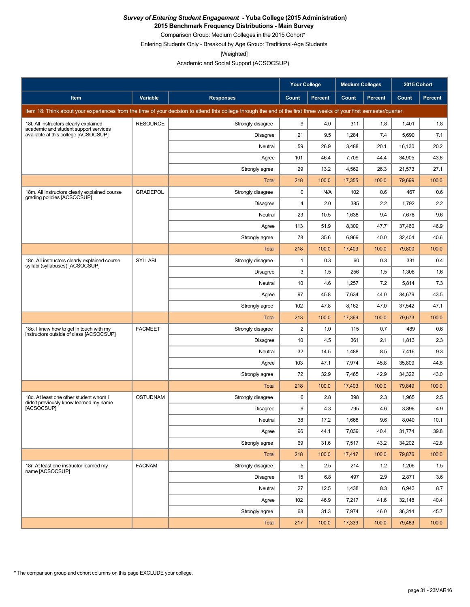**2015 Benchmark Frequency Distributions - Main Survey**

Comparison Group: Medium Colleges in the 2015 Cohort\* Entering Students Only - Breakout by Age Group: Traditional-Age Students

[Weighted]

Academic and Social Support (ACSOCSUP)

|                                                                                    |                 |                                                                                                                                                                      | Your College<br><b>Medium Colleges</b> |                | 2015 Cohort |         |        |                |
|------------------------------------------------------------------------------------|-----------------|----------------------------------------------------------------------------------------------------------------------------------------------------------------------|----------------------------------------|----------------|-------------|---------|--------|----------------|
| Item                                                                               | Variable        | <b>Responses</b>                                                                                                                                                     | Count                                  | <b>Percent</b> | Count       | Percent | Count  | <b>Percent</b> |
|                                                                                    |                 | Item 18: Think about your experiences from the time of your decision to attend this college through the end of the first three weeks of your first semester/quarter. |                                        |                |             |         |        |                |
| 18I. All instructors clearly explained                                             | <b>RESOURCE</b> | Strongly disagree                                                                                                                                                    | 9                                      | 4.0            | 311         | 1.8     | 1,401  | 1.8            |
| academic and student support services<br>available at this college [ACSOCSUP]      |                 | <b>Disagree</b>                                                                                                                                                      | 21                                     | 9.5            | 1,284       | 7.4     | 5,690  | 7.1            |
|                                                                                    |                 | Neutral                                                                                                                                                              | 59                                     | 26.9           | 3,488       | 20.1    | 16,130 | 20.2           |
|                                                                                    |                 | Agree                                                                                                                                                                | 101                                    | 46.4           | 7,709       | 44.4    | 34,905 | 43.8           |
|                                                                                    |                 | Strongly agree                                                                                                                                                       | 29                                     | 13.2           | 4,562       | 26.3    | 21,573 | 27.1           |
|                                                                                    |                 | <b>Total</b>                                                                                                                                                         | 218                                    | 100.0          | 17,355      | 100.0   | 79,699 | 100.0          |
| 18m. All instructors clearly explained course<br>grading policies [ACSOCSUP]       | <b>GRADEPOL</b> | Strongly disagree                                                                                                                                                    | 0                                      | N/A            | 102         | 0.6     | 467    | 0.6            |
|                                                                                    |                 | <b>Disagree</b>                                                                                                                                                      | $\overline{\mathbf{4}}$                | 2.0            | 385         | 2.2     | 1,792  | 2.2            |
|                                                                                    |                 | Neutral                                                                                                                                                              | 23                                     | 10.5           | 1,638       | 9.4     | 7,678  | 9.6            |
|                                                                                    |                 | Agree                                                                                                                                                                | 113                                    | 51.9           | 8,309       | 47.7    | 37,460 | 46.9           |
|                                                                                    |                 | Strongly agree                                                                                                                                                       | 78                                     | 35.6           | 6,969       | 40.0    | 32,404 | 40.6           |
|                                                                                    |                 | Total                                                                                                                                                                | 218                                    | 100.0          | 17,403      | 100.0   | 79,800 | 100.0          |
| 18n. All instructors clearly explained course<br>syllabi (syllabuses) [ACSOCSUP]   | <b>SYLLABI</b>  | Strongly disagree                                                                                                                                                    | $\mathbf{1}$                           | 0.3            | 60          | 0.3     | 331    | 0.4            |
|                                                                                    |                 | <b>Disagree</b>                                                                                                                                                      | 3                                      | 1.5            | 256         | 1.5     | 1,306  | 1.6            |
|                                                                                    |                 | Neutral                                                                                                                                                              | 10                                     | 4.6            | 1,257       | 7.2     | 5,814  | 7.3            |
|                                                                                    |                 | Agree                                                                                                                                                                | 97                                     | 45.8           | 7,634       | 44.0    | 34,679 | 43.5           |
|                                                                                    |                 | Strongly agree                                                                                                                                                       | 102                                    | 47.8           | 8,162       | 47.0    | 37,542 | 47.1           |
|                                                                                    |                 | Total                                                                                                                                                                | 213                                    | 100.0          | 17,369      | 100.0   | 79,673 | 100.0          |
| 180. I knew how to get in touch with my<br>instructors outside of class [ACSOCSUP] | <b>FACMEET</b>  | Strongly disagree                                                                                                                                                    | $\overline{2}$                         | 1.0            | 115         | 0.7     | 489    | 0.6            |
|                                                                                    |                 | <b>Disagree</b>                                                                                                                                                      | 10                                     | 4.5            | 361         | 2.1     | 1,813  | 2.3            |
|                                                                                    |                 | Neutral                                                                                                                                                              | 32                                     | 14.5           | 1,488       | 8.5     | 7,416  | 9.3            |
|                                                                                    |                 | Agree                                                                                                                                                                | 103                                    | 47.1           | 7,974       | 45.8    | 35,809 | 44.8           |
|                                                                                    |                 | Strongly agree                                                                                                                                                       | 72                                     | 32.9           | 7,465       | 42.9    | 34,322 | 43.0           |
|                                                                                    |                 | Total                                                                                                                                                                | 218                                    | 100.0          | 17,403      | 100.0   | 79,849 | 100.0          |
| 18q. At least one other student whom I<br>didn't previously know learned my name   | <b>OSTUDNAM</b> | Strongly disagree                                                                                                                                                    | 6                                      | 2.8            | 398         | 2.3     | 1,965  | 2.5            |
| [ACSOCSUP]                                                                         |                 | Disagree                                                                                                                                                             | 9                                      | 4.3            | 795         | 4.6     | 3,896  | 4.9            |
|                                                                                    |                 | Neutral                                                                                                                                                              | 38                                     | 17.2           | 1,668       | 9.6     | 8.040  | 10.1           |
|                                                                                    |                 | Agree                                                                                                                                                                | 96                                     | 44.1           | 7,039       | 40.4    | 31,774 | 39.8           |
|                                                                                    |                 | Strongly agree                                                                                                                                                       | 69                                     | 31.6           | 7,517       | 43.2    | 34,202 | 42.8           |
|                                                                                    |                 | <b>Total</b>                                                                                                                                                         | 218                                    | 100.0          | 17,417      | 100.0   | 79,876 | 100.0          |
| 18r. At least one instructor learned my<br>name [ACSOCSUP]                         | <b>FACNAM</b>   | Strongly disagree                                                                                                                                                    | 5                                      | 2.5            | 214         | 1.2     | 1,206  | 1.5            |
|                                                                                    |                 | Disagree                                                                                                                                                             | 15                                     | 6.8            | 497         | 2.9     | 2,871  | 3.6            |
|                                                                                    |                 | Neutral                                                                                                                                                              | 27                                     | 12.5           | 1,438       | 8.3     | 6,943  | 8.7            |
|                                                                                    |                 | Agree                                                                                                                                                                | 102                                    | 46.9           | 7,217       | 41.6    | 32,148 | 40.4           |
|                                                                                    |                 | Strongly agree                                                                                                                                                       | 68                                     | 31.3           | 7,974       | 46.0    | 36,314 | 45.7           |
|                                                                                    |                 | Total                                                                                                                                                                | 217                                    | 100.0          | 17,339      | 100.0   | 79,483 | 100.0          |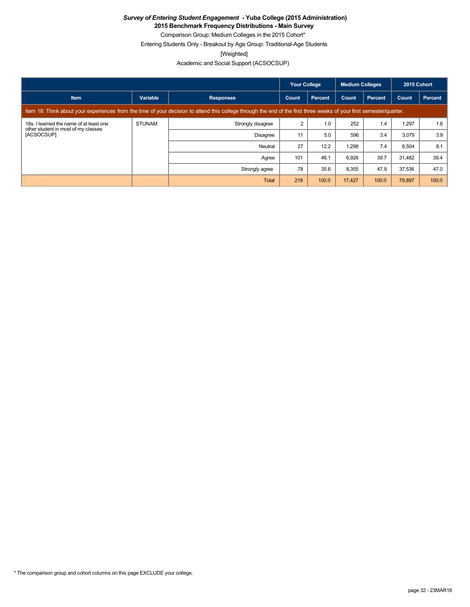**2015 Benchmark Frequency Distributions - Main Survey**

Comparison Group: Medium Colleges in the 2015 Cohort\* Entering Students Only - Breakout by Age Group: Traditional-Age Students

[Weighted]

Academic and Social Support (ACSOCSUP)

|                                                                                                                                                                      |               |                   | Your College |         | <b>Medium Colleges</b> |                | 2015 Cohort |         |
|----------------------------------------------------------------------------------------------------------------------------------------------------------------------|---------------|-------------------|--------------|---------|------------------------|----------------|-------------|---------|
| <b>Item</b>                                                                                                                                                          | Variable      | <b>Responses</b>  | Count        | Percent | Count                  | <b>Percent</b> | Count       | Percent |
| Item 18: Think about your experiences from the time of your decision to attend this college through the end of the first three weeks of your first semester/quarter. |               |                   |              |         |                        |                |             |         |
| 18s. I learned the name of at least one<br>other student in most of my classes<br>[ACSOCSUP]                                                                         | <b>STUNAM</b> | Strongly disagree |              | 1.0     | 252                    | 1.4            | 1,297       | 1.6     |
|                                                                                                                                                                      |               | <b>Disagree</b>   | 11           | 5.0     | 596                    | 3.4            | 3,079       | 3.9     |
|                                                                                                                                                                      |               | Neutral           | 27           | 12.2    | 1,298                  | 7.4            | 6,504       | 8.1     |
|                                                                                                                                                                      |               | Agree             | 101          | 46.1    | 6,926                  | 39.7           | 31.482      | 39.4    |
|                                                                                                                                                                      |               | Strongly agree    | 78           | 35.6    | 8,355                  | 47.9           | 37,536      | 47.0    |
|                                                                                                                                                                      |               | Total             | 218          | 100.0   | 17.427                 | 100.0          | 79,897      | 100.0   |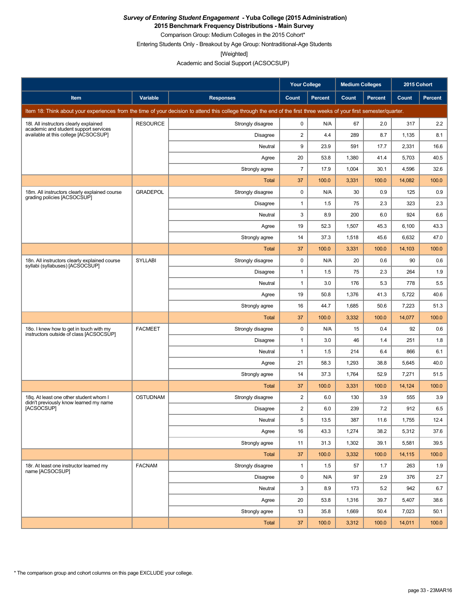**2015 Benchmark Frequency Distributions - Main Survey**

Comparison Group: Medium Colleges in the 2015 Cohort\* Entering Students Only - Breakout by Age Group: Nontraditional-Age Students

[Weighted]

Academic and Social Support (ACSOCSUP)

|                                                                                                                                                                      |                 |                   | <b>Your College</b><br><b>Medium Colleges</b> |                | 2015 Cohort |                |        |                |  |
|----------------------------------------------------------------------------------------------------------------------------------------------------------------------|-----------------|-------------------|-----------------------------------------------|----------------|-------------|----------------|--------|----------------|--|
| Item                                                                                                                                                                 | Variable        | <b>Responses</b>  | Count                                         | <b>Percent</b> | Count       | <b>Percent</b> | Count  | <b>Percent</b> |  |
| Item 18: Think about your experiences from the time of your decision to attend this college through the end of the first three weeks of your first semester/quarter. |                 |                   |                                               |                |             |                |        |                |  |
| 18I. All instructors clearly explained<br>academic and student support services                                                                                      | <b>RESOURCE</b> | Strongly disagree | $\mathbf 0$                                   | N/A            | 67          | 2.0            | 317    | 2.2            |  |
| available at this college [ACSOCSUP]                                                                                                                                 |                 | <b>Disagree</b>   | $\overline{2}$                                | 4.4            | 289         | 8.7            | 1,135  | 8.1            |  |
|                                                                                                                                                                      |                 | Neutral           | 9                                             | 23.9           | 591         | 17.7           | 2,331  | 16.6           |  |
|                                                                                                                                                                      |                 | Agree             | 20                                            | 53.8           | 1,380       | 41.4           | 5,703  | 40.5           |  |
|                                                                                                                                                                      |                 | Strongly agree    | $\overline{7}$                                | 17.9           | 1,004       | 30.1           | 4,596  | 32.6           |  |
|                                                                                                                                                                      |                 | Total             | 37                                            | 100.0          | 3,331       | 100.0          | 14,082 | 100.0          |  |
| 18m. All instructors clearly explained course<br>grading policies [ACSOCSUP]                                                                                         | <b>GRADEPOL</b> | Strongly disagree | $\mathbf 0$                                   | N/A            | 30          | 0.9            | 125    | 0.9            |  |
|                                                                                                                                                                      |                 | <b>Disagree</b>   | $\mathbf{1}$                                  | 1.5            | 75          | 2.3            | 323    | 2.3            |  |
|                                                                                                                                                                      |                 | Neutral           | 3                                             | 8.9            | 200         | 6.0            | 924    | 6.6            |  |
|                                                                                                                                                                      |                 | Agree             | 19                                            | 52.3           | 1,507       | 45.3           | 6,100  | 43.3           |  |
|                                                                                                                                                                      |                 | Strongly agree    | 14                                            | 37.3           | 1,518       | 45.6           | 6,632  | 47.0           |  |
|                                                                                                                                                                      |                 | Total             | 37                                            | 100.0          | 3,331       | 100.0          | 14,103 | 100.0          |  |
| 18n. All instructors clearly explained course<br>syllabi (syllabuses) [ACSOCSUP]                                                                                     | <b>SYLLABI</b>  | Strongly disagree | 0                                             | N/A            | 20          | 0.6            | 90     | 0.6            |  |
|                                                                                                                                                                      |                 | <b>Disagree</b>   | $\mathbf{1}$                                  | 1.5            | 75          | 2.3            | 264    | 1.9            |  |
|                                                                                                                                                                      |                 | Neutral           | $\mathbf{1}$                                  | 3.0            | 176         | 5.3            | 778    | 5.5            |  |
|                                                                                                                                                                      |                 | Agree             | 19                                            | 50.8           | 1,376       | 41.3           | 5,722  | 40.6           |  |
|                                                                                                                                                                      |                 | Strongly agree    | 16                                            | 44.7           | 1,685       | 50.6           | 7,223  | 51.3           |  |
|                                                                                                                                                                      |                 | Total             | 37                                            | 100.0          | 3,332       | 100.0          | 14,077 | 100.0          |  |
| 180. I knew how to get in touch with my<br>instructors outside of class [ACSOCSUP]                                                                                   | <b>FACMEET</b>  | Strongly disagree | $\pmb{0}$                                     | N/A            | 15          | 0.4            | 92     | 0.6            |  |
|                                                                                                                                                                      |                 | <b>Disagree</b>   | $\mathbf{1}$                                  | 3.0            | 46          | 1.4            | 251    | 1.8            |  |
|                                                                                                                                                                      |                 | Neutral           | $\mathbf{1}$                                  | 1.5            | 214         | 6.4            | 866    | 6.1            |  |
|                                                                                                                                                                      |                 | Agree             | 21                                            | 58.3           | 1,293       | 38.8           | 5,645  | 40.0           |  |
|                                                                                                                                                                      |                 | Strongly agree    | 14                                            | 37.3           | 1,764       | 52.9           | 7,271  | 51.5           |  |
|                                                                                                                                                                      |                 | Total             | 37                                            | 100.0          | 3,331       | 100.0          | 14,124 | 100.0          |  |
| 18g. At least one other student whom I<br>didn't previously know learned my name<br><b>IACSOCSUPI</b>                                                                | <b>OSTUDNAM</b> | Strongly disagree | $\overline{2}$                                | 6.0            | 130         | 3.9            | 555    | 3.9            |  |
|                                                                                                                                                                      |                 | <b>Disagree</b>   | $\overline{\mathbf{c}}$                       | 6.0            | 239         | 7.2            | 912    | 6.5            |  |
|                                                                                                                                                                      |                 | Neutral           | 5                                             | 13.5           | 387         | 11.6           | 1,755  | 12.4           |  |
|                                                                                                                                                                      |                 | Agree             | 16                                            | 43.3           | 1,274       | 38.2           | 5,312  | 37.6           |  |
|                                                                                                                                                                      |                 | Strongly agree    | 11                                            | 31.3           | 1,302       | 39.1           | 5,581  | 39.5           |  |
|                                                                                                                                                                      |                 | Total             | 37                                            | 100.0          | 3,332       | 100.0          | 14,115 | 100.0          |  |
| 18r. At least one instructor learned my<br>name [ACSOCSUP]                                                                                                           | <b>FACNAM</b>   | Strongly disagree | $\mathbf{1}$                                  | 1.5            | 57          | 1.7            | 263    | 1.9            |  |
|                                                                                                                                                                      |                 | Disagree          | 0                                             | N/A            | 97          | 2.9            | 376    | 2.7            |  |
|                                                                                                                                                                      |                 | Neutral           | 3                                             | 8.9            | 173         | 5.2            | 942    | 6.7            |  |
|                                                                                                                                                                      |                 | Agree             | 20                                            | 53.8           | 1,316       | 39.7           | 5,407  | 38.6           |  |
|                                                                                                                                                                      |                 | Strongly agree    | 13                                            | 35.8           | 1,669       | 50.4           | 7,023  | 50.1           |  |
|                                                                                                                                                                      |                 | Total             | 37                                            | 100.0          | 3,312       | 100.0          | 14,011 | 100.0          |  |